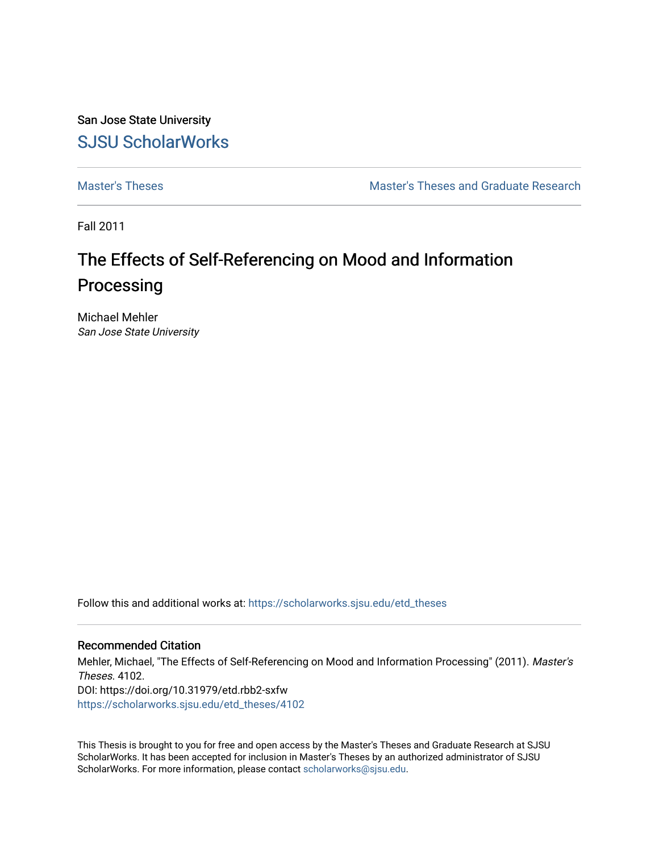San Jose State University [SJSU ScholarWorks](https://scholarworks.sjsu.edu/) 

[Master's Theses](https://scholarworks.sjsu.edu/etd_theses) [Master's Theses and Graduate Research](https://scholarworks.sjsu.edu/etd) 

Fall 2011

# The Effects of Self-Referencing on Mood and Information Processing

Michael Mehler San Jose State University

Follow this and additional works at: [https://scholarworks.sjsu.edu/etd\\_theses](https://scholarworks.sjsu.edu/etd_theses?utm_source=scholarworks.sjsu.edu%2Fetd_theses%2F4102&utm_medium=PDF&utm_campaign=PDFCoverPages)

# Recommended Citation

Mehler, Michael, "The Effects of Self-Referencing on Mood and Information Processing" (2011). Master's Theses. 4102. DOI: https://doi.org/10.31979/etd.rbb2-sxfw [https://scholarworks.sjsu.edu/etd\\_theses/4102](https://scholarworks.sjsu.edu/etd_theses/4102?utm_source=scholarworks.sjsu.edu%2Fetd_theses%2F4102&utm_medium=PDF&utm_campaign=PDFCoverPages)

This Thesis is brought to you for free and open access by the Master's Theses and Graduate Research at SJSU ScholarWorks. It has been accepted for inclusion in Master's Theses by an authorized administrator of SJSU ScholarWorks. For more information, please contact [scholarworks@sjsu.edu](mailto:scholarworks@sjsu.edu).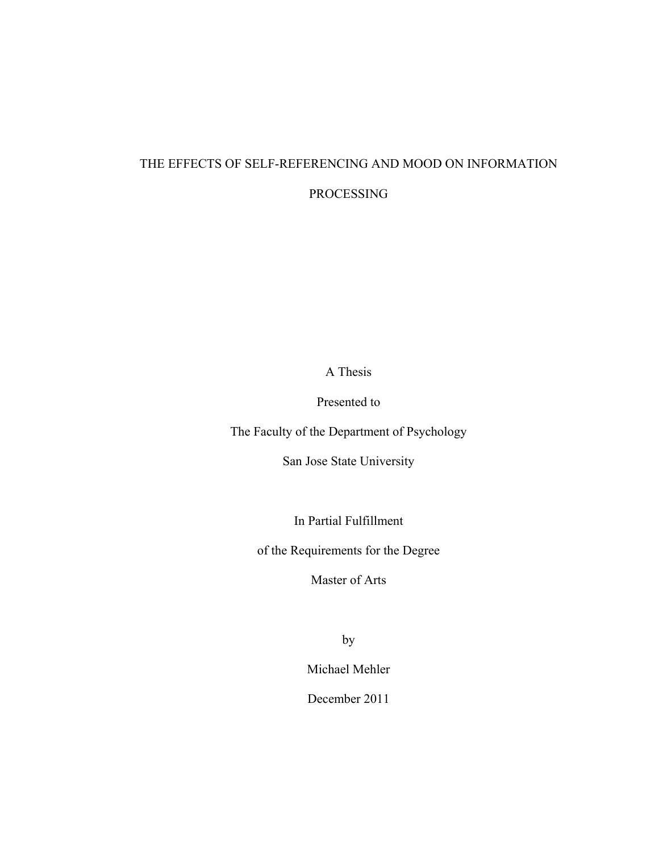# THE EFFECTS OF SELF-REFERENCING AND MOOD ON INFORMATION

# PROCESSING

A Thesis

Presented to

The Faculty of the Department of Psychology

San Jose State University

In Partial Fulfillment

of the Requirements for the Degree

Master of Arts

by

Michael Mehler

December 2011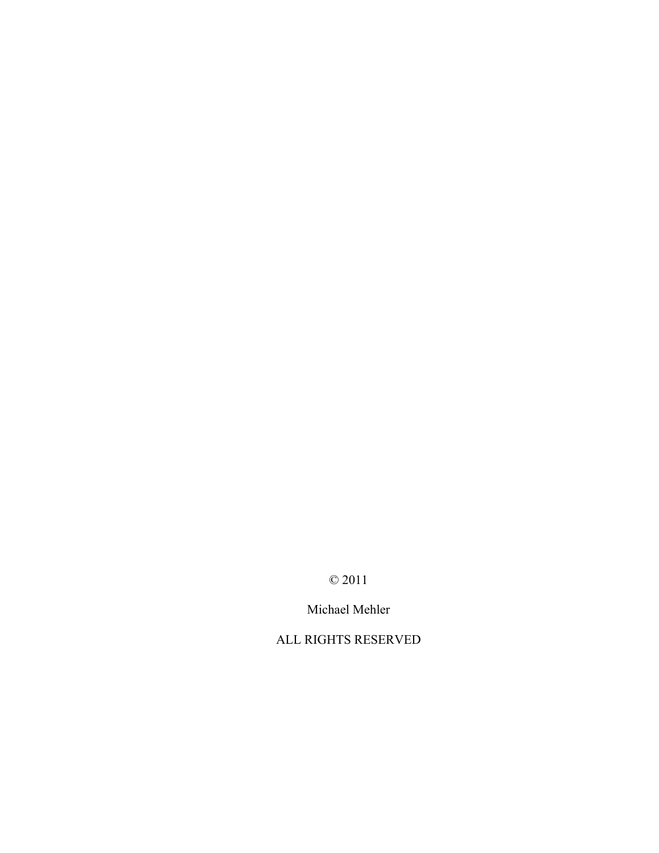© 2011

Michael Mehler

ALL RIGHTS RESERVED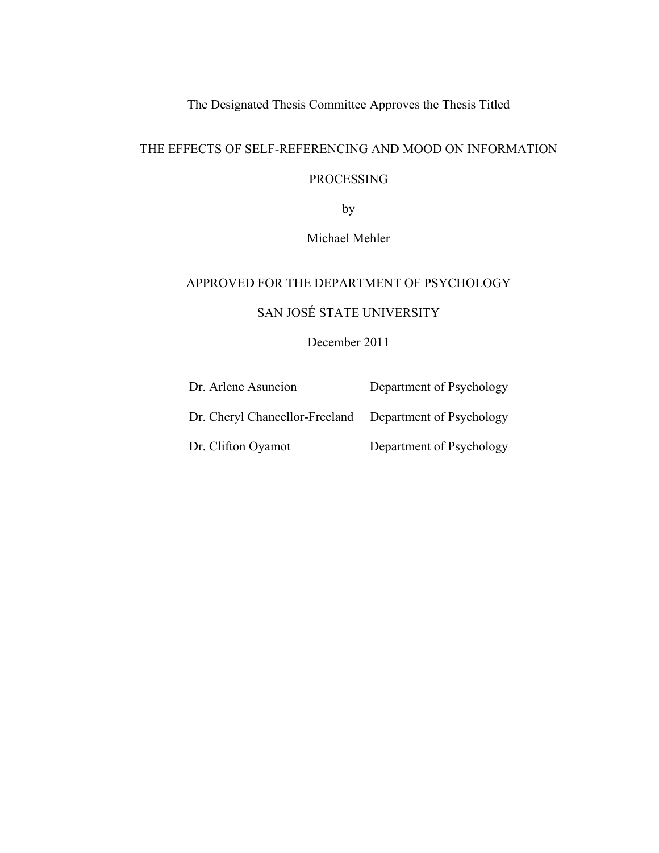The Designated Thesis Committee Approves the Thesis Titled

# THE EFFECTS OF SELF-REFERENCING AND MOOD ON INFORMATION

# PROCESSING

by

Michael Mehler

# APPROVED FOR THE DEPARTMENT OF PSYCHOLOGY

# SAN JOSÉ STATE UNIVERSITY

# December 2011

| Dr. Arlene Asuncion            | Department of Psychology |
|--------------------------------|--------------------------|
| Dr. Cheryl Chancellor-Freeland | Department of Psychology |
| Dr. Clifton Oyamot             | Department of Psychology |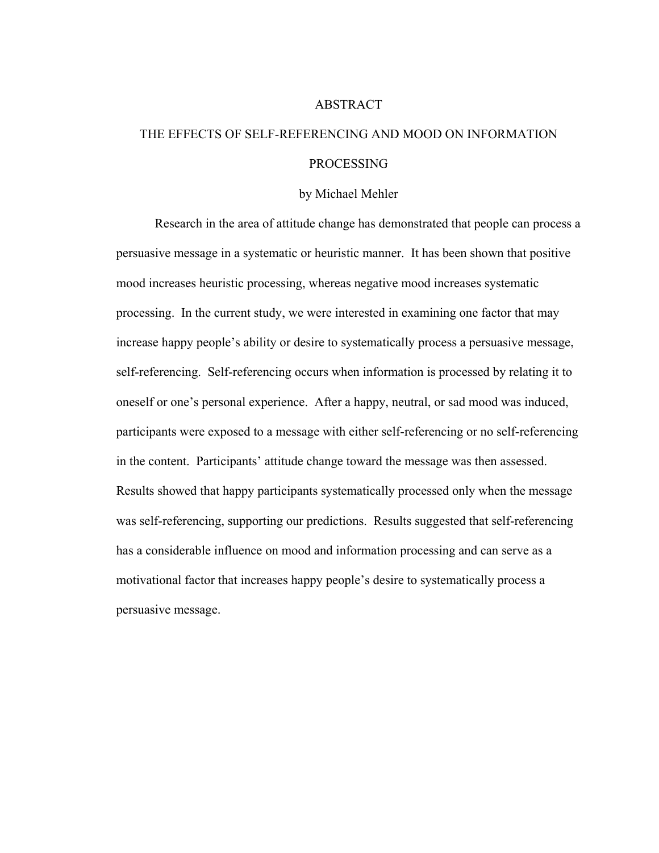#### ABSTRACT

# THE EFFECTS OF SELF-REFERENCING AND MOOD ON INFORMATION PROCESSING

### by Michael Mehler

 Research in the area of attitude change has demonstrated that people can process a persuasive message in a systematic or heuristic manner. It has been shown that positive mood increases heuristic processing, whereas negative mood increases systematic processing. In the current study, we were interested in examining one factor that may increase happy people's ability or desire to systematically process a persuasive message, self-referencing. Self-referencing occurs when information is processed by relating it to oneself or one's personal experience. After a happy, neutral, or sad mood was induced, participants were exposed to a message with either self-referencing or no self-referencing in the content. Participants' attitude change toward the message was then assessed. Results showed that happy participants systematically processed only when the message was self-referencing, supporting our predictions. Results suggested that self-referencing has a considerable influence on mood and information processing and can serve as a motivational factor that increases happy people's desire to systematically process a persuasive message.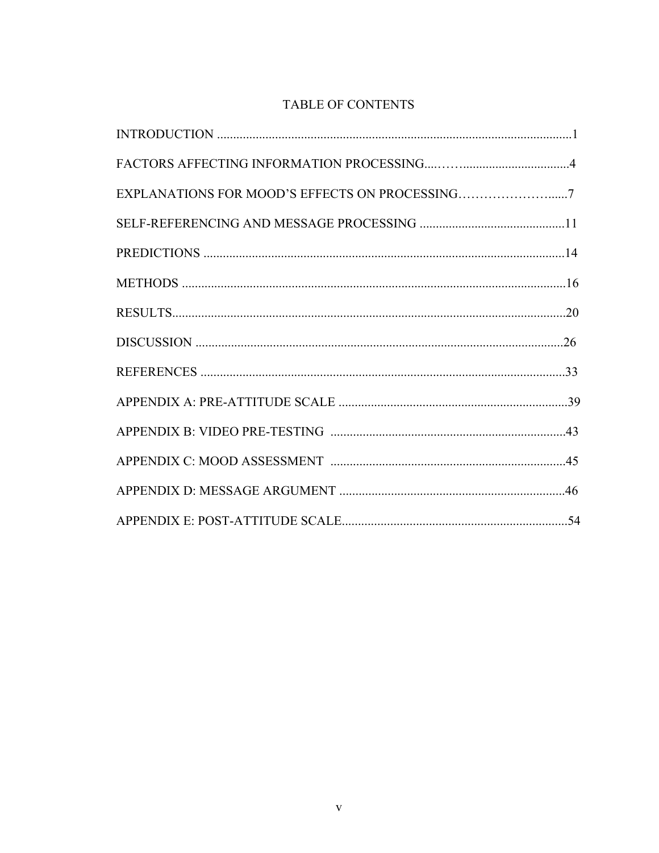# TABLE OF CONTENTS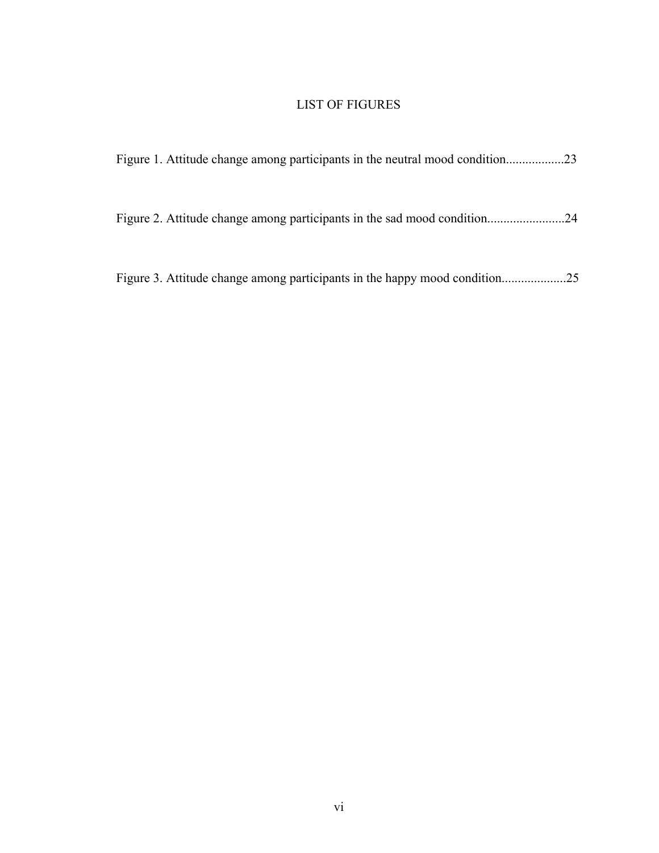# LIST OF FIGURES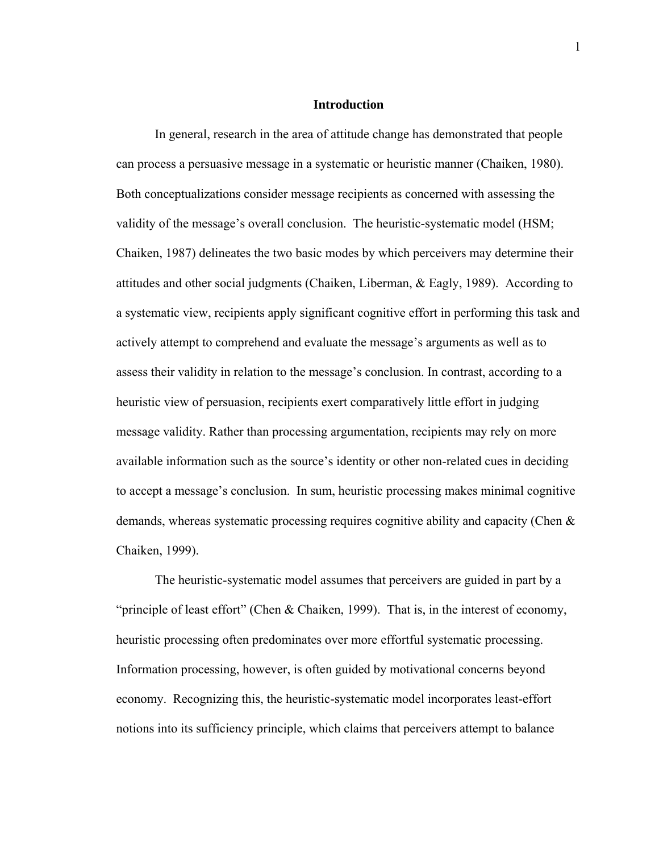# **Introduction**

 In general, research in the area of attitude change has demonstrated that people can process a persuasive message in a systematic or heuristic manner (Chaiken, 1980). Both conceptualizations consider message recipients as concerned with assessing the validity of the message's overall conclusion. The heuristic-systematic model (HSM; Chaiken, 1987) delineates the two basic modes by which perceivers may determine their attitudes and other social judgments (Chaiken, Liberman, & Eagly, 1989). According to a systematic view, recipients apply significant cognitive effort in performing this task and actively attempt to comprehend and evaluate the message's arguments as well as to assess their validity in relation to the message's conclusion. In contrast, according to a heuristic view of persuasion, recipients exert comparatively little effort in judging message validity. Rather than processing argumentation, recipients may rely on more available information such as the source's identity or other non-related cues in deciding to accept a message's conclusion. In sum, heuristic processing makes minimal cognitive demands, whereas systematic processing requires cognitive ability and capacity (Chen & Chaiken, 1999).

 The heuristic-systematic model assumes that perceivers are guided in part by a "principle of least effort" (Chen & Chaiken, 1999). That is, in the interest of economy, heuristic processing often predominates over more effortful systematic processing. Information processing, however, is often guided by motivational concerns beyond economy. Recognizing this, the heuristic-systematic model incorporates least-effort notions into its sufficiency principle, which claims that perceivers attempt to balance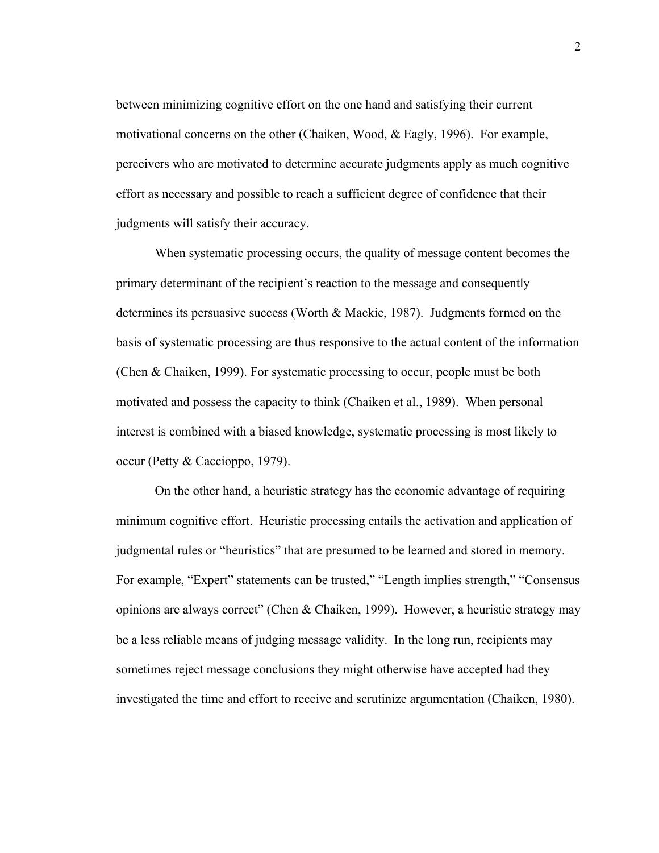between minimizing cognitive effort on the one hand and satisfying their current motivational concerns on the other (Chaiken, Wood, & Eagly, 1996). For example, perceivers who are motivated to determine accurate judgments apply as much cognitive effort as necessary and possible to reach a sufficient degree of confidence that their judgments will satisfy their accuracy.

 When systematic processing occurs, the quality of message content becomes the primary determinant of the recipient's reaction to the message and consequently determines its persuasive success (Worth  $\&$  Mackie, 1987). Judgments formed on the basis of systematic processing are thus responsive to the actual content of the information (Chen & Chaiken, 1999). For systematic processing to occur, people must be both motivated and possess the capacity to think (Chaiken et al., 1989). When personal interest is combined with a biased knowledge, systematic processing is most likely to occur (Petty & Caccioppo, 1979).

On the other hand, a heuristic strategy has the economic advantage of requiring minimum cognitive effort. Heuristic processing entails the activation and application of judgmental rules or "heuristics" that are presumed to be learned and stored in memory. For example, "Expert" statements can be trusted," "Length implies strength," "Consensus opinions are always correct" (Chen & Chaiken, 1999). However, a heuristic strategy may be a less reliable means of judging message validity. In the long run, recipients may sometimes reject message conclusions they might otherwise have accepted had they investigated the time and effort to receive and scrutinize argumentation (Chaiken, 1980).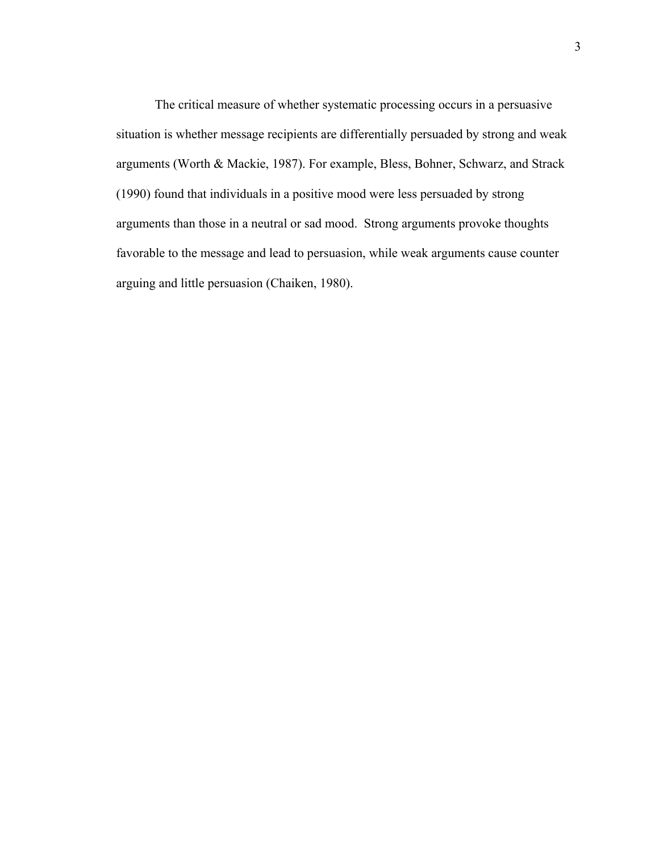The critical measure of whether systematic processing occurs in a persuasive situation is whether message recipients are differentially persuaded by strong and weak arguments (Worth & Mackie, 1987). For example, Bless, Bohner, Schwarz, and Strack (1990) found that individuals in a positive mood were less persuaded by strong arguments than those in a neutral or sad mood. Strong arguments provoke thoughts favorable to the message and lead to persuasion, while weak arguments cause counter arguing and little persuasion (Chaiken, 1980).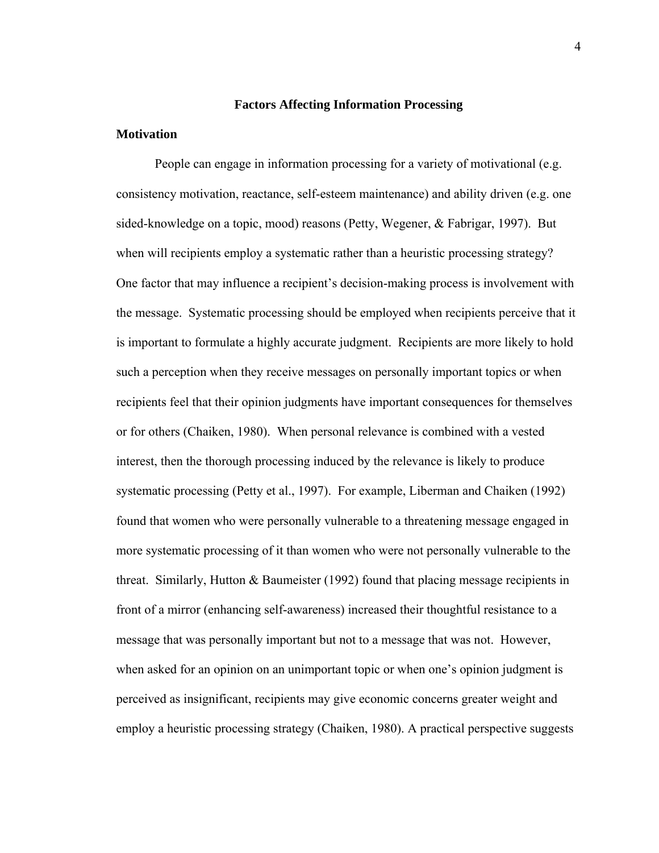# **Factors Affecting Information Processing**

## **Motivation**

People can engage in information processing for a variety of motivational (e.g. consistency motivation, reactance, self-esteem maintenance) and ability driven (e.g. one sided-knowledge on a topic, mood) reasons (Petty, Wegener, & Fabrigar, 1997). But when will recipients employ a systematic rather than a heuristic processing strategy? One factor that may influence a recipient's decision-making process is involvement with the message. Systematic processing should be employed when recipients perceive that it is important to formulate a highly accurate judgment. Recipients are more likely to hold such a perception when they receive messages on personally important topics or when recipients feel that their opinion judgments have important consequences for themselves or for others (Chaiken, 1980). When personal relevance is combined with a vested interest, then the thorough processing induced by the relevance is likely to produce systematic processing (Petty et al., 1997). For example, Liberman and Chaiken (1992) found that women who were personally vulnerable to a threatening message engaged in more systematic processing of it than women who were not personally vulnerable to the threat. Similarly, Hutton & Baumeister (1992) found that placing message recipients in front of a mirror (enhancing self-awareness) increased their thoughtful resistance to a message that was personally important but not to a message that was not. However, when asked for an opinion on an unimportant topic or when one's opinion judgment is perceived as insignificant, recipients may give economic concerns greater weight and employ a heuristic processing strategy (Chaiken, 1980). A practical perspective suggests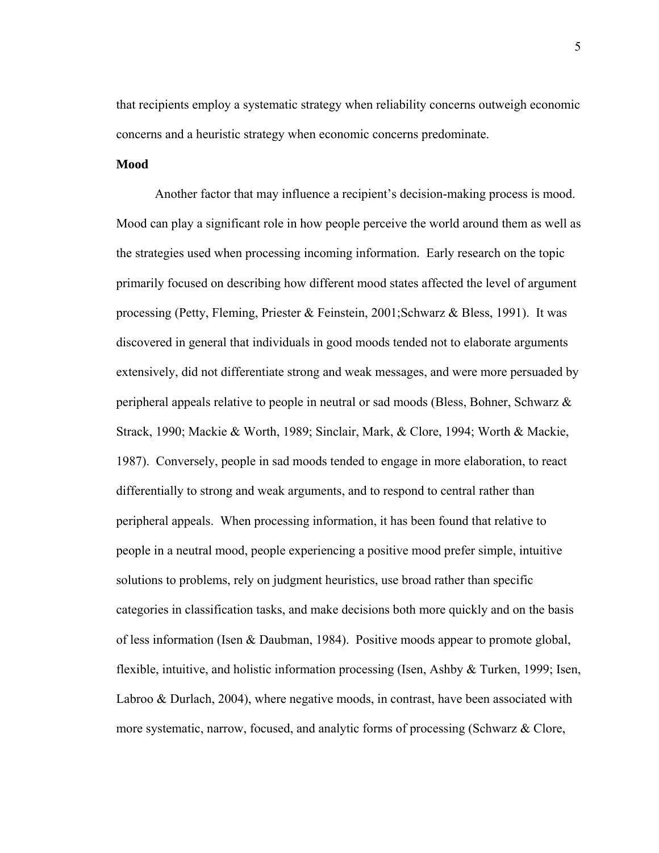that recipients employ a systematic strategy when reliability concerns outweigh economic concerns and a heuristic strategy when economic concerns predominate.

## **Mood**

 Another factor that may influence a recipient's decision-making process is mood. Mood can play a significant role in how people perceive the world around them as well as the strategies used when processing incoming information. Early research on the topic primarily focused on describing how different mood states affected the level of argument processing (Petty, Fleming, Priester & Feinstein, 2001;Schwarz & Bless, 1991). It was discovered in general that individuals in good moods tended not to elaborate arguments extensively, did not differentiate strong and weak messages, and were more persuaded by peripheral appeals relative to people in neutral or sad moods (Bless, Bohner, Schwarz & Strack, 1990; Mackie & Worth, 1989; Sinclair, Mark, & Clore, 1994; Worth & Mackie, 1987). Conversely, people in sad moods tended to engage in more elaboration, to react differentially to strong and weak arguments, and to respond to central rather than peripheral appeals. When processing information, it has been found that relative to people in a neutral mood, people experiencing a positive mood prefer simple, intuitive solutions to problems, rely on judgment heuristics, use broad rather than specific categories in classification tasks, and make decisions both more quickly and on the basis of less information (Isen & Daubman, 1984). Positive moods appear to promote global, flexible, intuitive, and holistic information processing (Isen, Ashby & Turken, 1999; Isen, Labroo & Durlach, 2004), where negative moods, in contrast, have been associated with more systematic, narrow, focused, and analytic forms of processing (Schwarz & Clore,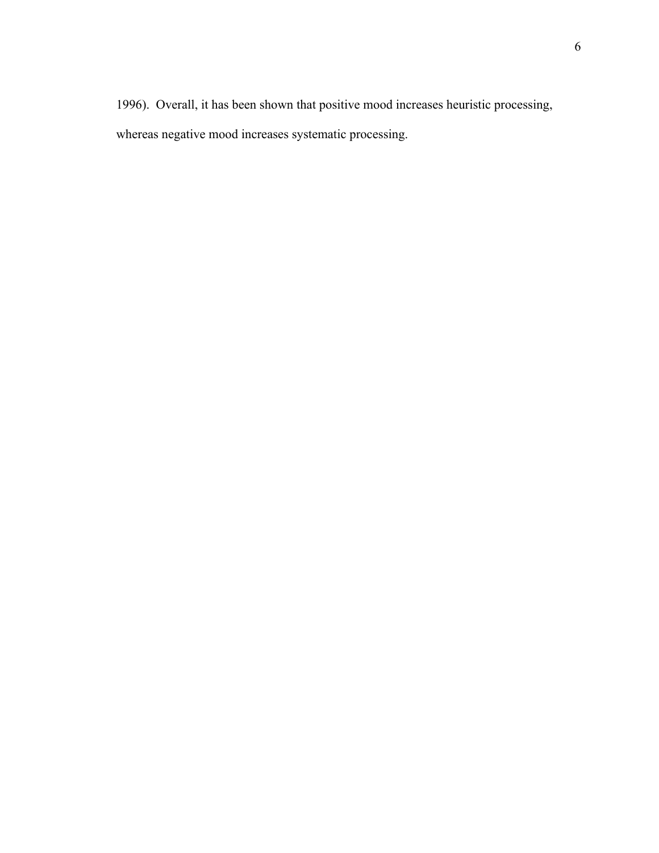1996). Overall, it has been shown that positive mood increases heuristic processing, whereas negative mood increases systematic processing.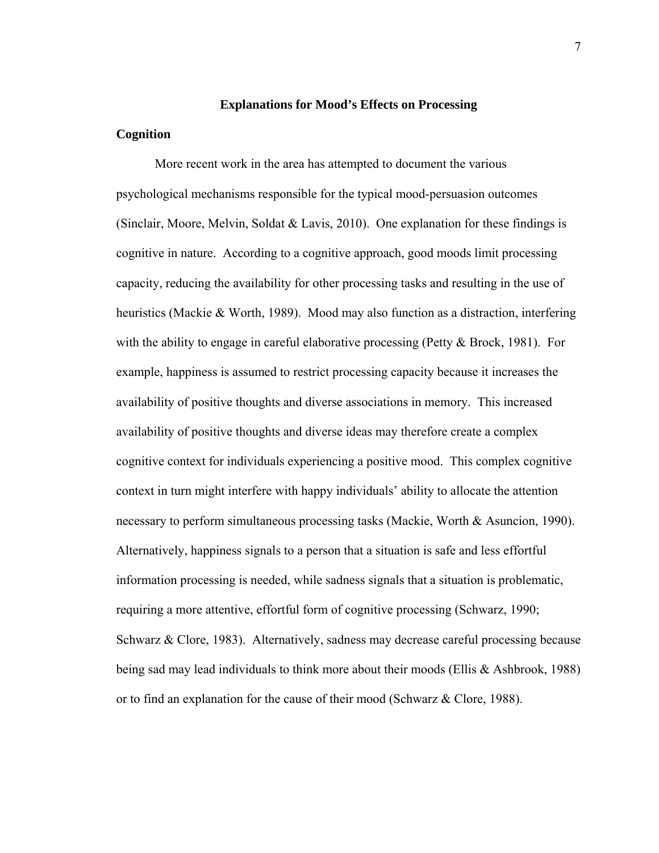### **Explanations for Mood's Effects on Processing**

# **Cognition**

More recent work in the area has attempted to document the various psychological mechanisms responsible for the typical mood-persuasion outcomes (Sinclair, Moore, Melvin, Soldat & Lavis, 2010). One explanation for these findings is cognitive in nature. According to a cognitive approach, good moods limit processing capacity, reducing the availability for other processing tasks and resulting in the use of heuristics (Mackie & Worth, 1989). Mood may also function as a distraction, interfering with the ability to engage in careful elaborative processing (Petty  $\&$  Brock, 1981). For example, happiness is assumed to restrict processing capacity because it increases the availability of positive thoughts and diverse associations in memory. This increased availability of positive thoughts and diverse ideas may therefore create a complex cognitive context for individuals experiencing a positive mood. This complex cognitive context in turn might interfere with happy individuals' ability to allocate the attention necessary to perform simultaneous processing tasks (Mackie, Worth & Asuncion, 1990). Alternatively, happiness signals to a person that a situation is safe and less effortful information processing is needed, while sadness signals that a situation is problematic, requiring a more attentive, effortful form of cognitive processing (Schwarz, 1990; Schwarz & Clore, 1983). Alternatively, sadness may decrease careful processing because being sad may lead individuals to think more about their moods (Ellis & Ashbrook, 1988) or to find an explanation for the cause of their mood (Schwarz & Clore, 1988).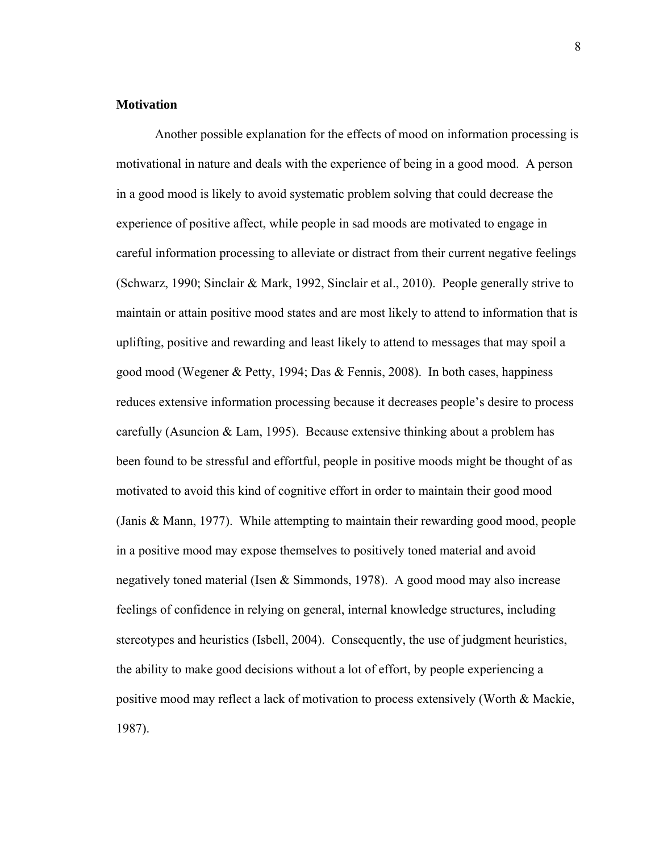# **Motivation**

 Another possible explanation for the effects of mood on information processing is motivational in nature and deals with the experience of being in a good mood. A person in a good mood is likely to avoid systematic problem solving that could decrease the experience of positive affect, while people in sad moods are motivated to engage in careful information processing to alleviate or distract from their current negative feelings (Schwarz, 1990; Sinclair & Mark, 1992, Sinclair et al., 2010). People generally strive to maintain or attain positive mood states and are most likely to attend to information that is uplifting, positive and rewarding and least likely to attend to messages that may spoil a good mood (Wegener & Petty, 1994; Das & Fennis, 2008). In both cases, happiness reduces extensive information processing because it decreases people's desire to process carefully (Asuncion  $& Lam, 1995$ ). Because extensive thinking about a problem has been found to be stressful and effortful, people in positive moods might be thought of as motivated to avoid this kind of cognitive effort in order to maintain their good mood (Janis & Mann, 1977). While attempting to maintain their rewarding good mood, people in a positive mood may expose themselves to positively toned material and avoid negatively toned material (Isen & Simmonds, 1978). A good mood may also increase feelings of confidence in relying on general, internal knowledge structures, including stereotypes and heuristics (Isbell, 2004). Consequently, the use of judgment heuristics, the ability to make good decisions without a lot of effort, by people experiencing a positive mood may reflect a lack of motivation to process extensively (Worth & Mackie, 1987).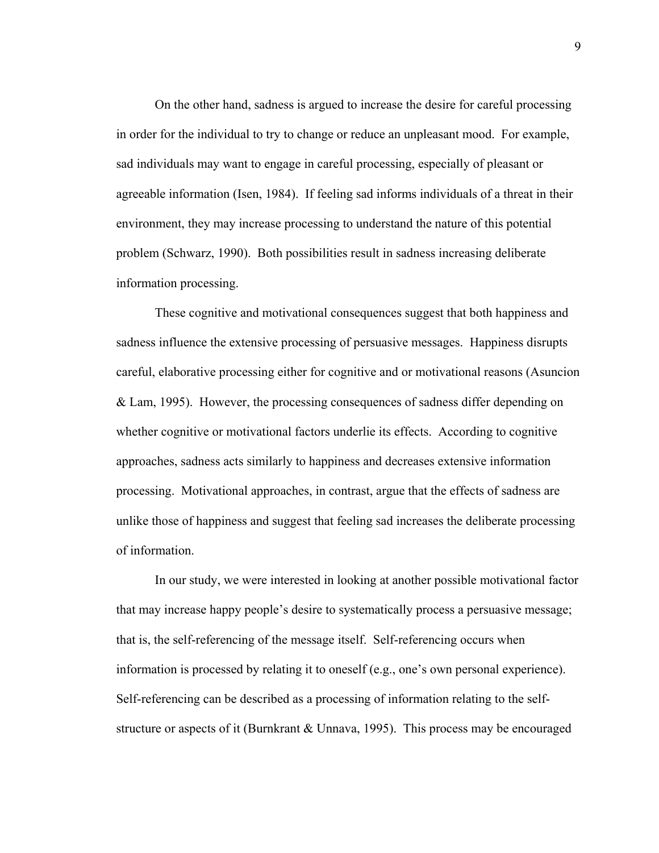On the other hand, sadness is argued to increase the desire for careful processing in order for the individual to try to change or reduce an unpleasant mood. For example, sad individuals may want to engage in careful processing, especially of pleasant or agreeable information (Isen, 1984). If feeling sad informs individuals of a threat in their environment, they may increase processing to understand the nature of this potential problem (Schwarz, 1990). Both possibilities result in sadness increasing deliberate information processing.

 These cognitive and motivational consequences suggest that both happiness and sadness influence the extensive processing of persuasive messages. Happiness disrupts careful, elaborative processing either for cognitive and or motivational reasons (Asuncion & Lam, 1995). However, the processing consequences of sadness differ depending on whether cognitive or motivational factors underlie its effects. According to cognitive approaches, sadness acts similarly to happiness and decreases extensive information processing. Motivational approaches, in contrast, argue that the effects of sadness are unlike those of happiness and suggest that feeling sad increases the deliberate processing of information.

 In our study, we were interested in looking at another possible motivational factor that may increase happy people's desire to systematically process a persuasive message; that is, the self-referencing of the message itself. Self-referencing occurs when information is processed by relating it to oneself (e.g., one's own personal experience). Self-referencing can be described as a processing of information relating to the selfstructure or aspects of it (Burnkrant & Unnava, 1995). This process may be encouraged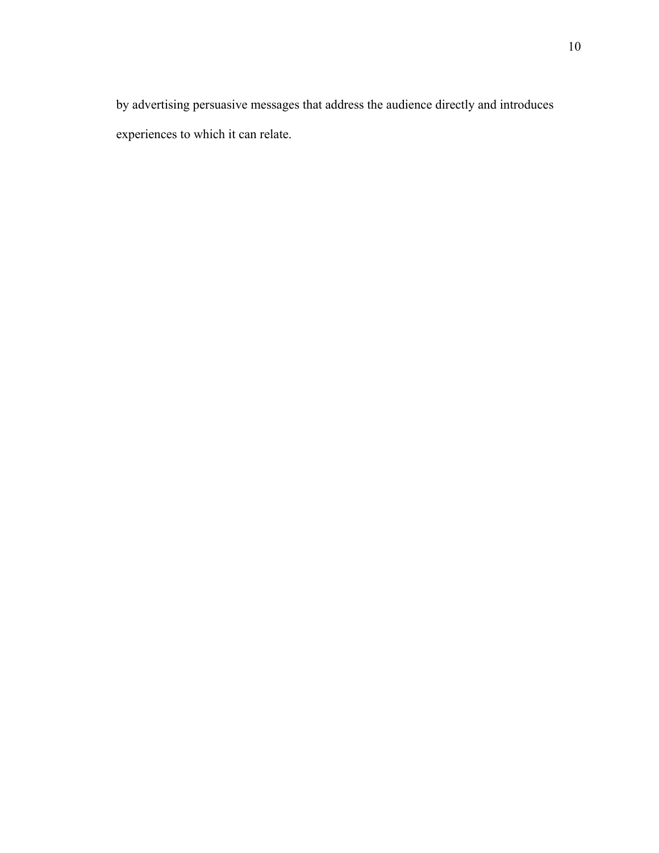by advertising persuasive messages that address the audience directly and introduces experiences to which it can relate.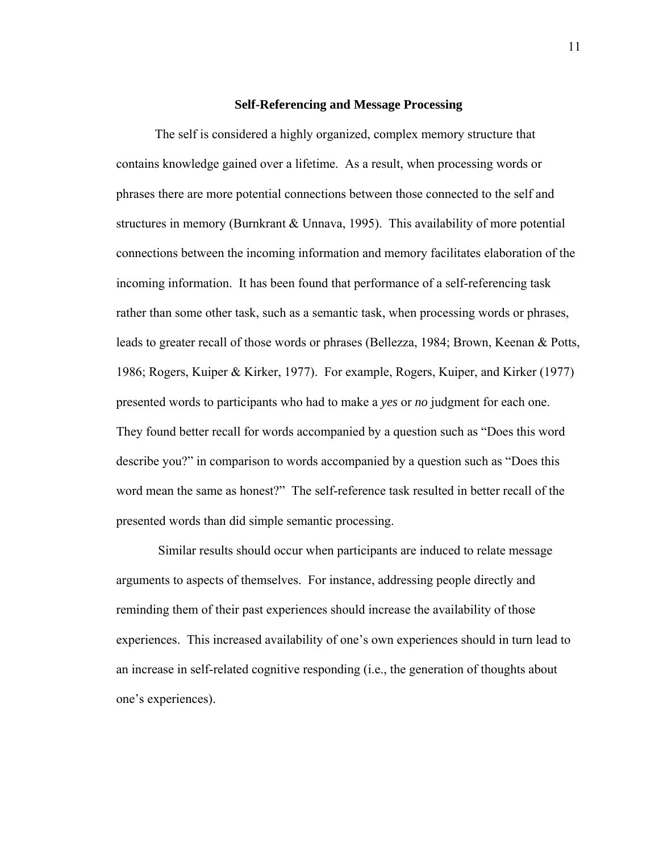#### **Self-Referencing and Message Processing**

 The self is considered a highly organized, complex memory structure that contains knowledge gained over a lifetime. As a result, when processing words or phrases there are more potential connections between those connected to the self and structures in memory (Burnkrant & Unnava, 1995). This availability of more potential connections between the incoming information and memory facilitates elaboration of the incoming information. It has been found that performance of a self-referencing task rather than some other task, such as a semantic task, when processing words or phrases, leads to greater recall of those words or phrases (Bellezza, 1984; Brown, Keenan & Potts, 1986; Rogers, Kuiper & Kirker, 1977). For example, Rogers, Kuiper, and Kirker (1977) presented words to participants who had to make a *yes* or *no* judgment for each one. They found better recall for words accompanied by a question such as "Does this word describe you?" in comparison to words accompanied by a question such as "Does this word mean the same as honest?" The self-reference task resulted in better recall of the presented words than did simple semantic processing.

 Similar results should occur when participants are induced to relate message arguments to aspects of themselves. For instance, addressing people directly and reminding them of their past experiences should increase the availability of those experiences. This increased availability of one's own experiences should in turn lead to an increase in self-related cognitive responding (i.e., the generation of thoughts about one's experiences).

11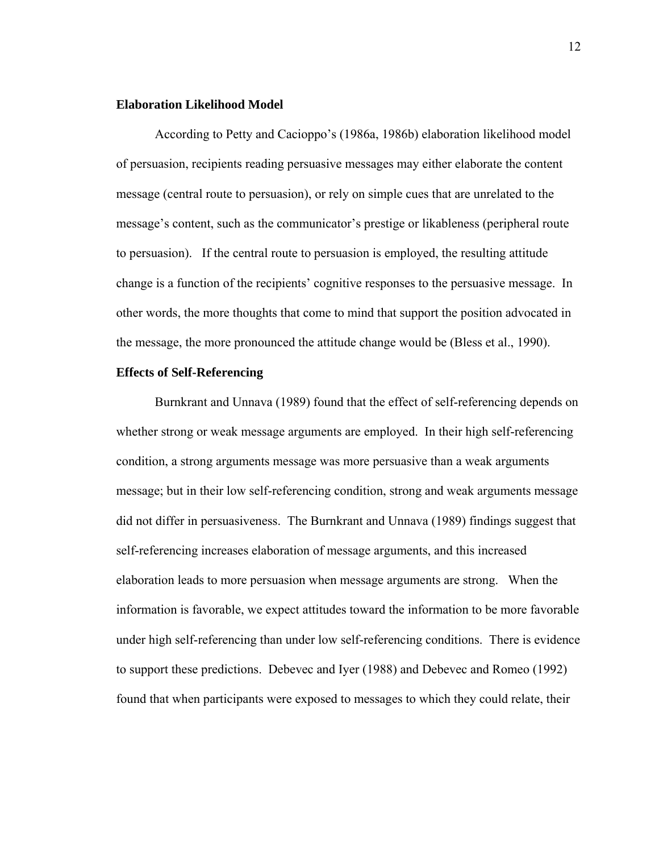# **Elaboration Likelihood Model**

 According to Petty and Cacioppo's (1986a, 1986b) elaboration likelihood model of persuasion, recipients reading persuasive messages may either elaborate the content message (central route to persuasion), or rely on simple cues that are unrelated to the message's content, such as the communicator's prestige or likableness (peripheral route to persuasion). If the central route to persuasion is employed, the resulting attitude change is a function of the recipients' cognitive responses to the persuasive message. In other words, the more thoughts that come to mind that support the position advocated in the message, the more pronounced the attitude change would be (Bless et al., 1990).

# **Effects of Self-Referencing**

 Burnkrant and Unnava (1989) found that the effect of self-referencing depends on whether strong or weak message arguments are employed. In their high self-referencing condition, a strong arguments message was more persuasive than a weak arguments message; but in their low self-referencing condition, strong and weak arguments message did not differ in persuasiveness. The Burnkrant and Unnava (1989) findings suggest that self-referencing increases elaboration of message arguments, and this increased elaboration leads to more persuasion when message arguments are strong. When the information is favorable, we expect attitudes toward the information to be more favorable under high self-referencing than under low self-referencing conditions. There is evidence to support these predictions. Debevec and Iyer (1988) and Debevec and Romeo (1992) found that when participants were exposed to messages to which they could relate, their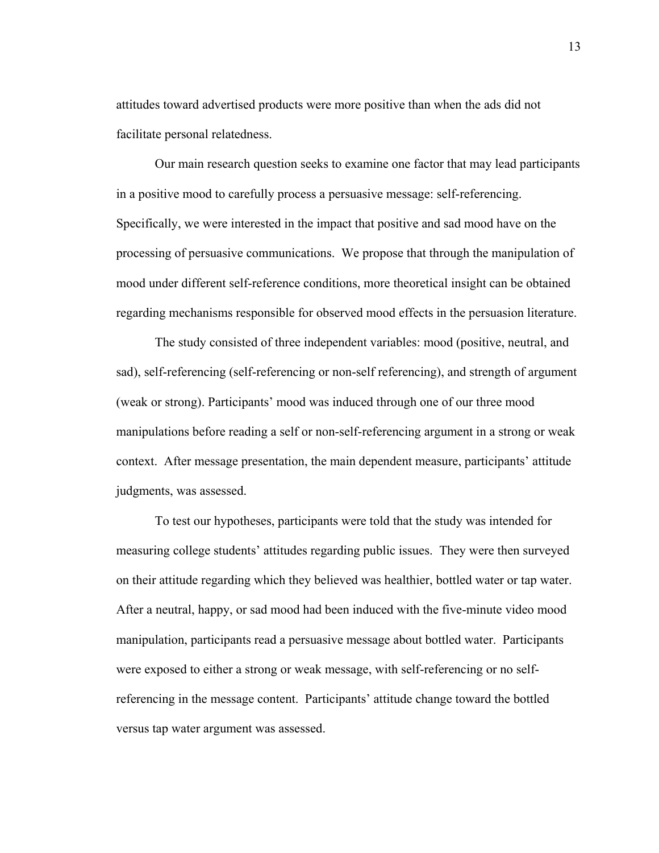attitudes toward advertised products were more positive than when the ads did not facilitate personal relatedness.

 Our main research question seeks to examine one factor that may lead participants in a positive mood to carefully process a persuasive message: self-referencing. Specifically, we were interested in the impact that positive and sad mood have on the processing of persuasive communications. We propose that through the manipulation of mood under different self-reference conditions, more theoretical insight can be obtained regarding mechanisms responsible for observed mood effects in the persuasion literature.

 The study consisted of three independent variables: mood (positive, neutral, and sad), self-referencing (self-referencing or non-self referencing), and strength of argument (weak or strong). Participants' mood was induced through one of our three mood manipulations before reading a self or non-self-referencing argument in a strong or weak context. After message presentation, the main dependent measure, participants' attitude judgments, was assessed.

 To test our hypotheses, participants were told that the study was intended for measuring college students' attitudes regarding public issues. They were then surveyed on their attitude regarding which they believed was healthier, bottled water or tap water. After a neutral, happy, or sad mood had been induced with the five-minute video mood manipulation, participants read a persuasive message about bottled water. Participants were exposed to either a strong or weak message, with self-referencing or no selfreferencing in the message content. Participants' attitude change toward the bottled versus tap water argument was assessed.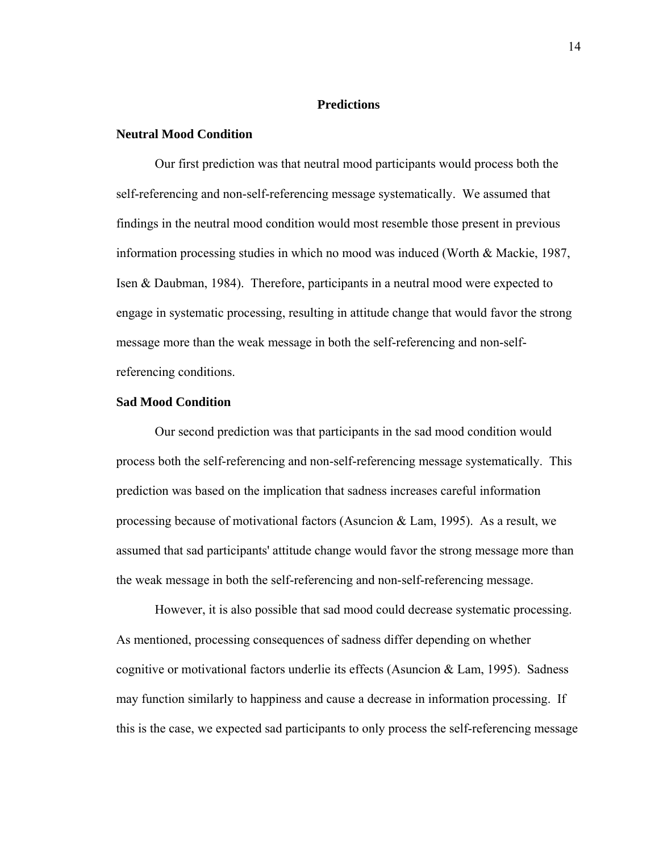# **Predictions**

# **Neutral Mood Condition**

 Our first prediction was that neutral mood participants would process both the self-referencing and non-self-referencing message systematically. We assumed that findings in the neutral mood condition would most resemble those present in previous information processing studies in which no mood was induced (Worth & Mackie, 1987, Isen & Daubman, 1984). Therefore, participants in a neutral mood were expected to engage in systematic processing, resulting in attitude change that would favor the strong message more than the weak message in both the self-referencing and non-selfreferencing conditions.

# **Sad Mood Condition**

Our second prediction was that participants in the sad mood condition would process both the self-referencing and non-self-referencing message systematically. This prediction was based on the implication that sadness increases careful information processing because of motivational factors (Asuncion & Lam, 1995). As a result, we assumed that sad participants' attitude change would favor the strong message more than the weak message in both the self-referencing and non-self-referencing message.

 However, it is also possible that sad mood could decrease systematic processing. As mentioned, processing consequences of sadness differ depending on whether cognitive or motivational factors underlie its effects (Asuncion & Lam, 1995). Sadness may function similarly to happiness and cause a decrease in information processing. If this is the case, we expected sad participants to only process the self-referencing message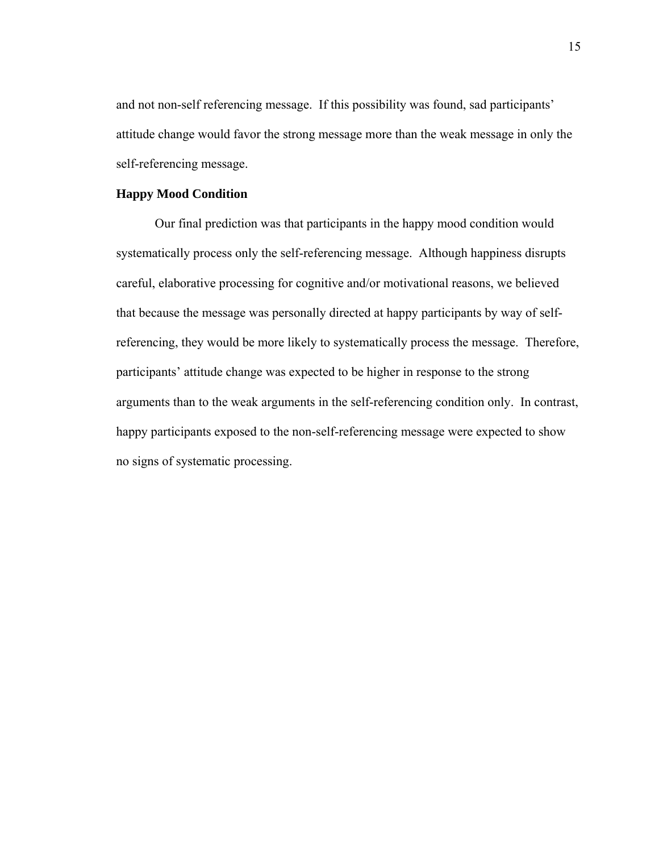and not non-self referencing message. If this possibility was found, sad participants' attitude change would favor the strong message more than the weak message in only the self-referencing message.

# **Happy Mood Condition**

 Our final prediction was that participants in the happy mood condition would systematically process only the self-referencing message. Although happiness disrupts careful, elaborative processing for cognitive and/or motivational reasons, we believed that because the message was personally directed at happy participants by way of selfreferencing, they would be more likely to systematically process the message. Therefore, participants' attitude change was expected to be higher in response to the strong arguments than to the weak arguments in the self-referencing condition only. In contrast, happy participants exposed to the non-self-referencing message were expected to show no signs of systematic processing.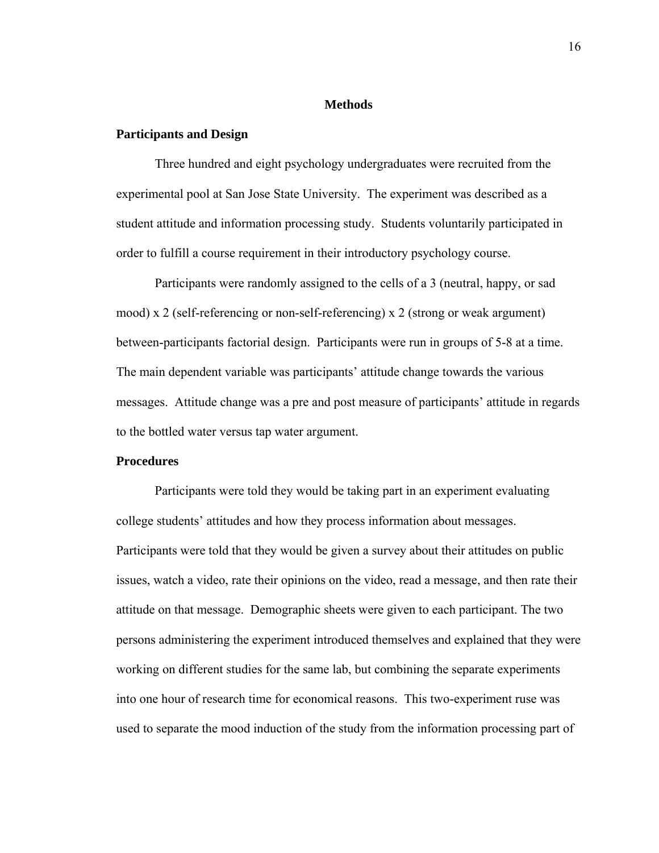# **Methods**

# **Participants and Design**

Three hundred and eight psychology undergraduates were recruited from the experimental pool at San Jose State University. The experiment was described as a student attitude and information processing study. Students voluntarily participated in order to fulfill a course requirement in their introductory psychology course.

Participants were randomly assigned to the cells of a 3 (neutral, happy, or sad mood) x 2 (self-referencing or non-self-referencing) x 2 (strong or weak argument) between-participants factorial design. Participants were run in groups of 5-8 at a time. The main dependent variable was participants' attitude change towards the various messages. Attitude change was a pre and post measure of participants' attitude in regards to the bottled water versus tap water argument.

# **Procedures**

Participants were told they would be taking part in an experiment evaluating college students' attitudes and how they process information about messages. Participants were told that they would be given a survey about their attitudes on public issues, watch a video, rate their opinions on the video, read a message, and then rate their attitude on that message. Demographic sheets were given to each participant. The two persons administering the experiment introduced themselves and explained that they were working on different studies for the same lab, but combining the separate experiments into one hour of research time for economical reasons. This two-experiment ruse was used to separate the mood induction of the study from the information processing part of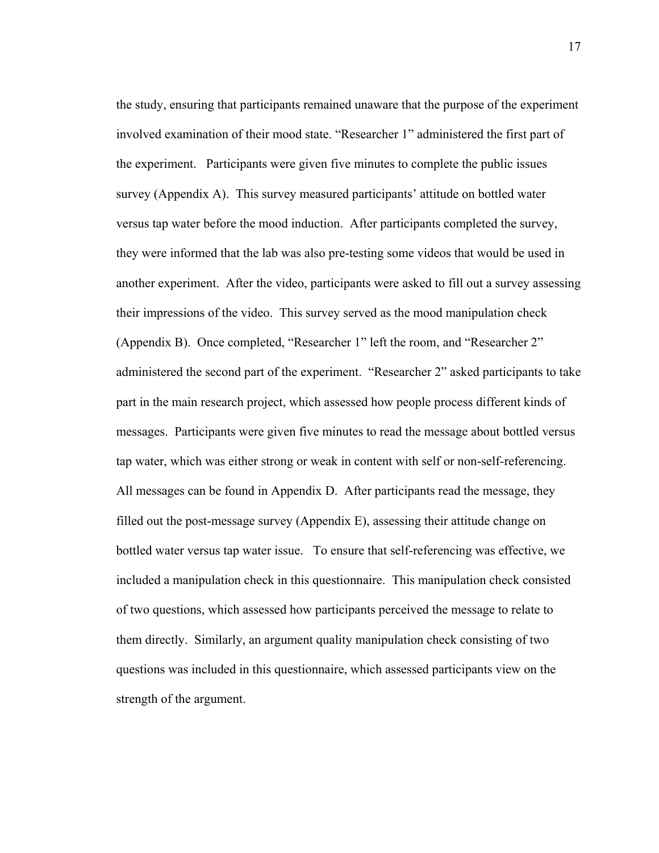the study, ensuring that participants remained unaware that the purpose of the experiment involved examination of their mood state. "Researcher 1" administered the first part of the experiment. Participants were given five minutes to complete the public issues survey (Appendix A). This survey measured participants' attitude on bottled water versus tap water before the mood induction. After participants completed the survey, they were informed that the lab was also pre-testing some videos that would be used in another experiment. After the video, participants were asked to fill out a survey assessing their impressions of the video. This survey served as the mood manipulation check (Appendix B). Once completed, "Researcher 1" left the room, and "Researcher 2" administered the second part of the experiment. "Researcher 2" asked participants to take part in the main research project, which assessed how people process different kinds of messages. Participants were given five minutes to read the message about bottled versus tap water, which was either strong or weak in content with self or non-self-referencing. All messages can be found in Appendix D. After participants read the message, they filled out the post-message survey (Appendix E), assessing their attitude change on bottled water versus tap water issue. To ensure that self-referencing was effective, we included a manipulation check in this questionnaire. This manipulation check consisted of two questions, which assessed how participants perceived the message to relate to them directly. Similarly, an argument quality manipulation check consisting of two questions was included in this questionnaire, which assessed participants view on the strength of the argument.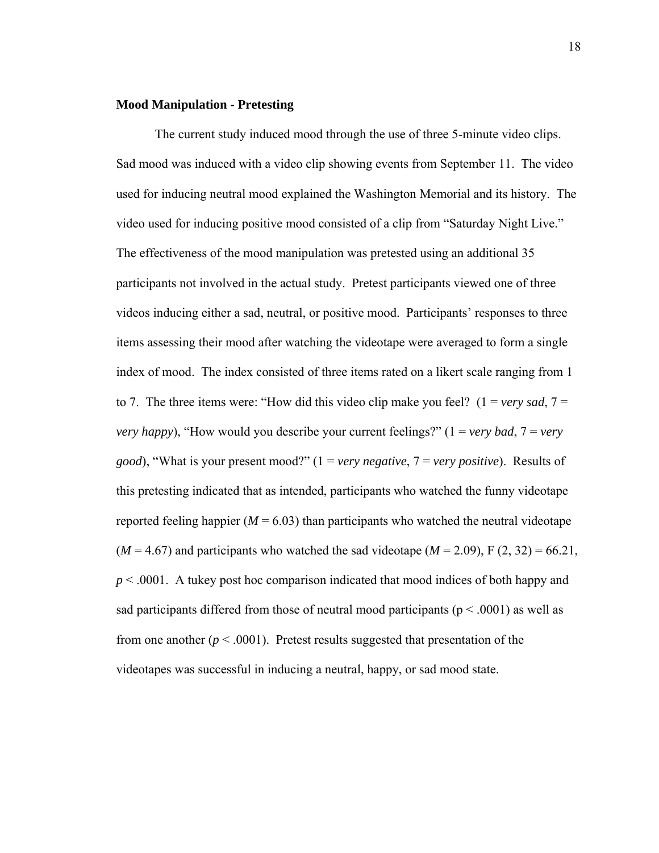### **Mood Manipulation - Pretesting**

The current study induced mood through the use of three 5-minute video clips. Sad mood was induced with a video clip showing events from September 11. The video used for inducing neutral mood explained the Washington Memorial and its history. The video used for inducing positive mood consisted of a clip from "Saturday Night Live." The effectiveness of the mood manipulation was pretested using an additional 35 participants not involved in the actual study. Pretest participants viewed one of three videos inducing either a sad, neutral, or positive mood. Participants' responses to three items assessing their mood after watching the videotape were averaged to form a single index of mood. The index consisted of three items rated on a likert scale ranging from 1 to 7. The three items were: "How did this video clip make you feel?  $(1 = \text{very sad}, 7 =$ *very happy*), "How would you describe your current feelings?" (1 = *very bad*, 7 = *very good*), "What is your present mood?" (1 = *very negative*, 7 = *very positive*). Results of this pretesting indicated that as intended, participants who watched the funny videotape reported feeling happier  $(M = 6.03)$  than participants who watched the neutral videotape  $(M = 4.67)$  and participants who watched the sad videotape  $(M = 2.09)$ , F  $(2, 32) = 66.21$ , *p* < .0001. A tukey post hoc comparison indicated that mood indices of both happy and sad participants differed from those of neutral mood participants ( $p < .0001$ ) as well as from one another  $(p < .0001)$ . Pretest results suggested that presentation of the videotapes was successful in inducing a neutral, happy, or sad mood state.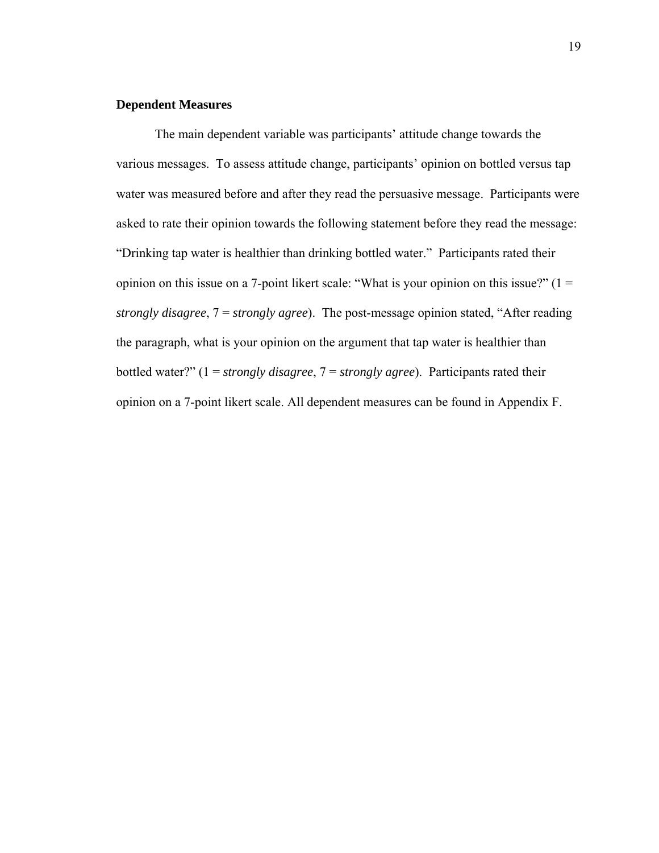# **Dependent Measures**

The main dependent variable was participants' attitude change towards the various messages. To assess attitude change, participants' opinion on bottled versus tap water was measured before and after they read the persuasive message. Participants were asked to rate their opinion towards the following statement before they read the message: "Drinking tap water is healthier than drinking bottled water." Participants rated their opinion on this issue on a 7-point likert scale: "What is your opinion on this issue?"  $(1 =$ *strongly disagree*, 7 = *strongly agree*). The post-message opinion stated, "After reading the paragraph, what is your opinion on the argument that tap water is healthier than bottled water?" (1 = *strongly disagree*, 7 = *strongly agree*). Participants rated their opinion on a 7-point likert scale. All dependent measures can be found in Appendix F.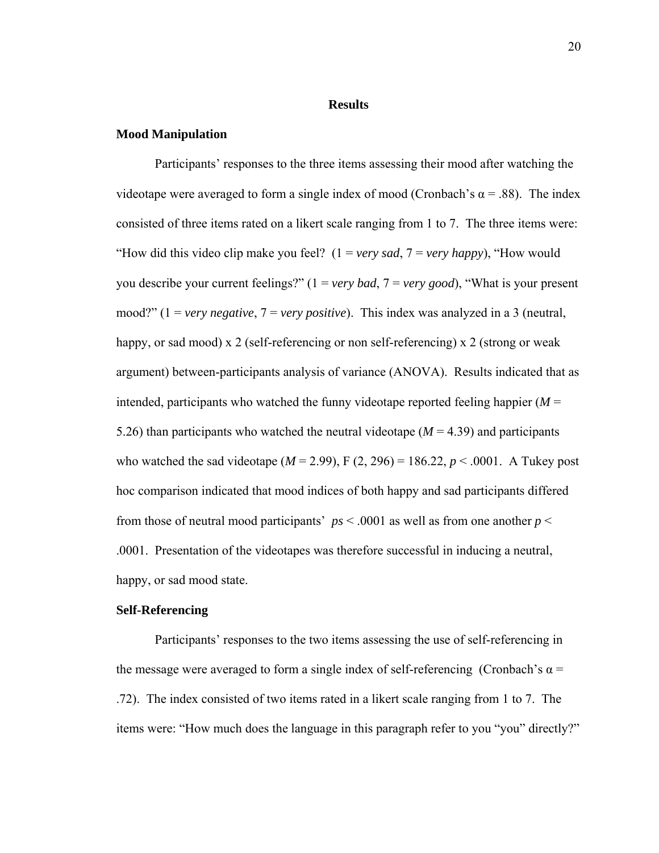### **Results**

### **Mood Manipulation**

Participants' responses to the three items assessing their mood after watching the videotape were averaged to form a single index of mood (Cronbach's  $\alpha$  = .88). The index consisted of three items rated on a likert scale ranging from 1 to 7. The three items were: "How did this video clip make you feel? (1 = *very sad*, 7 = *very happy*), "How would you describe your current feelings?" (1 = *very bad*, 7 = *very good*), "What is your present mood?" (1 = *very negative*, 7 = *very positive*). This index was analyzed in a 3 (neutral, happy, or sad mood) x 2 (self-referencing or non self-referencing) x 2 (strong or weak argument) between-participants analysis of variance (ANOVA). Results indicated that as intended, participants who watched the funny videotape reported feeling happier  $(M =$ 5.26) than participants who watched the neutral videotape  $(M = 4.39)$  and participants who watched the sad videotape ( $M = 2.99$ ), F (2, 296) = 186.22,  $p < .0001$ . A Tukey post hoc comparison indicated that mood indices of both happy and sad participants differed from those of neutral mood participants'  $ps < .0001$  as well as from one another  $p <$ .0001. Presentation of the videotapes was therefore successful in inducing a neutral, happy, or sad mood state.

# **Self-Referencing**

Participants' responses to the two items assessing the use of self-referencing in the message were averaged to form a single index of self-referencing (Cronbach's  $\alpha$  = .72). The index consisted of two items rated in a likert scale ranging from 1 to 7. The items were: "How much does the language in this paragraph refer to you "you" directly?"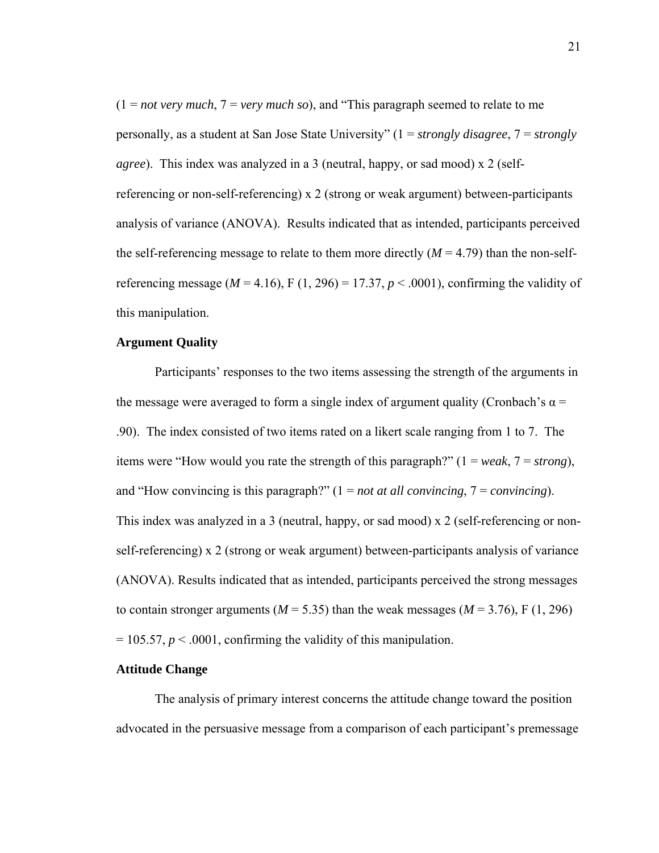(1 = *not very much*, 7 = *very much so*), and "This paragraph seemed to relate to me personally, as a student at San Jose State University" (1 = *strongly disagree*, 7 = *strongly agree*). This index was analyzed in a 3 (neutral, happy, or sad mood) x 2 (selfreferencing or non-self-referencing) x 2 (strong or weak argument) between-participants analysis of variance (ANOVA). Results indicated that as intended, participants perceived the self-referencing message to relate to them more directly  $(M = 4.79)$  than the non-selfreferencing message ( $M = 4.16$ ), F (1, 296) = 17.37,  $p < .0001$ ), confirming the validity of this manipulation.

#### **Argument Quality**

Participants' responses to the two items assessing the strength of the arguments in the message were averaged to form a single index of argument quality (Cronbach's  $\alpha$  = .90). The index consisted of two items rated on a likert scale ranging from 1 to 7. The items were "How would you rate the strength of this paragraph?" (1 = *weak*, 7 = *strong*), and "How convincing is this paragraph?" (1 = *not at all convincing*, 7 = *convincing*). This index was analyzed in a 3 (neutral, happy, or sad mood) x 2 (self-referencing or nonself-referencing) x 2 (strong or weak argument) between-participants analysis of variance (ANOVA). Results indicated that as intended, participants perceived the strong messages to contain stronger arguments ( $M = 5.35$ ) than the weak messages ( $M = 3.76$ ), F (1, 296)  $= 105.57, p \le 0.0001$ , confirming the validity of this manipulation.

# **Attitude Change**

 The analysis of primary interest concerns the attitude change toward the position advocated in the persuasive message from a comparison of each participant's premessage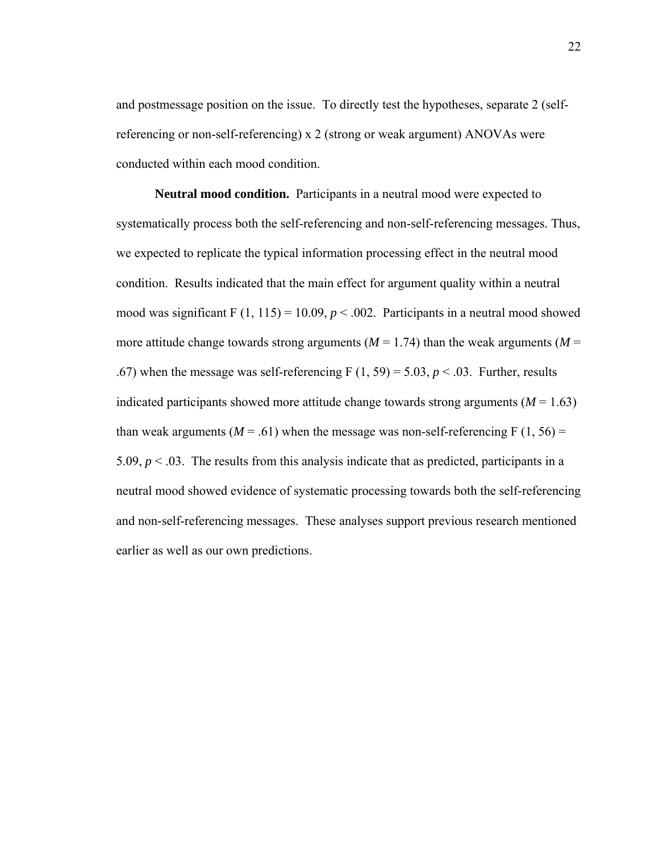and postmessage position on the issue. To directly test the hypotheses, separate 2 (selfreferencing or non-self-referencing) x 2 (strong or weak argument) ANOVAs were conducted within each mood condition.

 **Neutral mood condition.** Participants in a neutral mood were expected to systematically process both the self-referencing and non-self-referencing messages. Thus, we expected to replicate the typical information processing effect in the neutral mood condition. Results indicated that the main effect for argument quality within a neutral mood was significant F  $(1, 115) = 10.09$ ,  $p < .002$ . Participants in a neutral mood showed more attitude change towards strong arguments ( $M = 1.74$ ) than the weak arguments ( $M = 1.74$ ) .67) when the message was self-referencing F  $(1, 59) = 5.03$ ,  $p < 0.03$ . Further, results indicated participants showed more attitude change towards strong arguments  $(M = 1.63)$ than weak arguments ( $M = .61$ ) when the message was non-self-referencing F (1, 56) = 5.09,  $p < 0.03$ . The results from this analysis indicate that as predicted, participants in a neutral mood showed evidence of systematic processing towards both the self-referencing and non-self-referencing messages. These analyses support previous research mentioned earlier as well as our own predictions.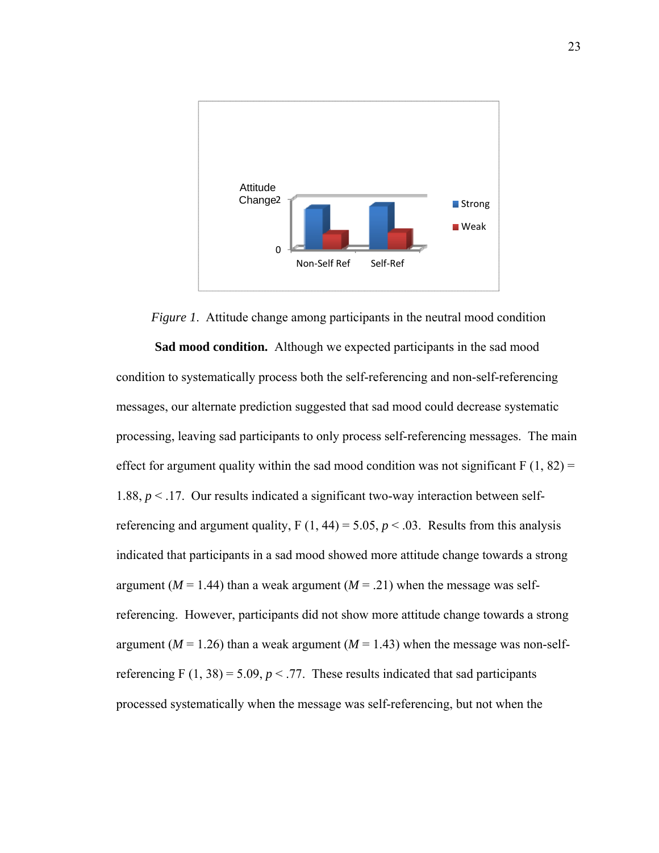

*Figure 1*. Attitude change among participants in the neutral mood condition  **Sad mood condition.** Although we expected participants in the sad mood condition to systematically process both the self-referencing and non-self-referencing messages, our alternate prediction suggested that sad mood could decrease systematic processing, leaving sad participants to only process self-referencing messages. The main effect for argument quality within the sad mood condition was not significant  $F(1, 82) =$ 1.88,  $p < 17$ . Our results indicated a significant two-way interaction between selfreferencing and argument quality,  $F(1, 44) = 5.05$ ,  $p < .03$ . Results from this analysis indicated that participants in a sad mood showed more attitude change towards a strong argument ( $M = 1.44$ ) than a weak argument ( $M = .21$ ) when the message was selfreferencing. However, participants did not show more attitude change towards a strong argument ( $M = 1.26$ ) than a weak argument ( $M = 1.43$ ) when the message was non-selfreferencing F  $(1, 38) = 5.09$ ,  $p < 0.77$ . These results indicated that sad participants processed systematically when the message was self-referencing, but not when the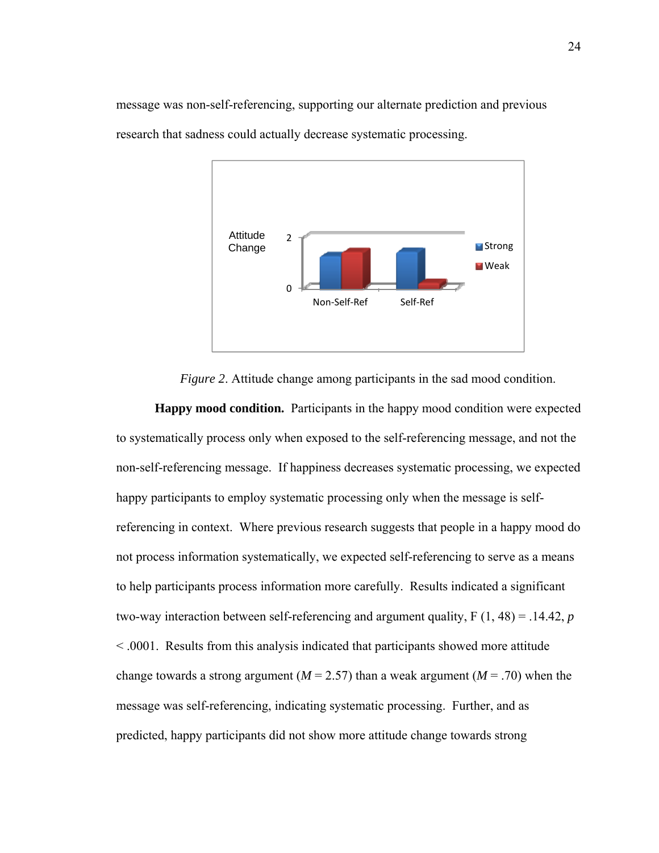

message was non-self-referencing, supporting our alternate prediction and previous



*Figure 2*. Attitude change among participants in the sad mood condition.

 **Happy mood condition.** Participants in the happy mood condition were expected to systematically process only when exposed to the self-referencing message, and not the non-self-referencing message. If happiness decreases systematic processing, we expected happy participants to employ systematic processing only when the message is selfreferencing in context. Where previous research suggests that people in a happy mood do not process information systematically, we expected self-referencing to serve as a means to help participants process information more carefully. Results indicated a significant two-way interaction between self-referencing and argument quality, F (1, 48) = .14.42, *p* < .0001. Results from this analysis indicated that participants showed more attitude change towards a strong argument ( $M = 2.57$ ) than a weak argument ( $M = .70$ ) when the message was self-referencing, indicating systematic processing. Further, and as predicted, happy participants did not show more attitude change towards strong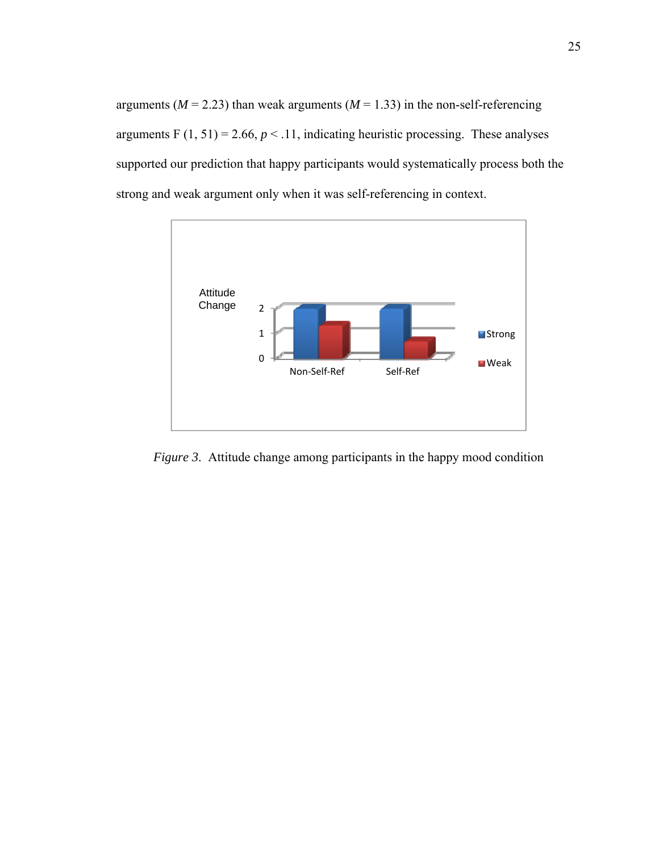arguments ( $M = 2.23$ ) than weak arguments ( $M = 1.33$ ) in the non-self-referencing arguments F  $(1, 51) = 2.66$ ,  $p < 11$ , indicating heuristic processing. These analyses supported our prediction that happy participants would systematically process both the strong and weak argument only when it was self-referencing in context.



*Figure 3.* Attitude change among participants in the happy mood condition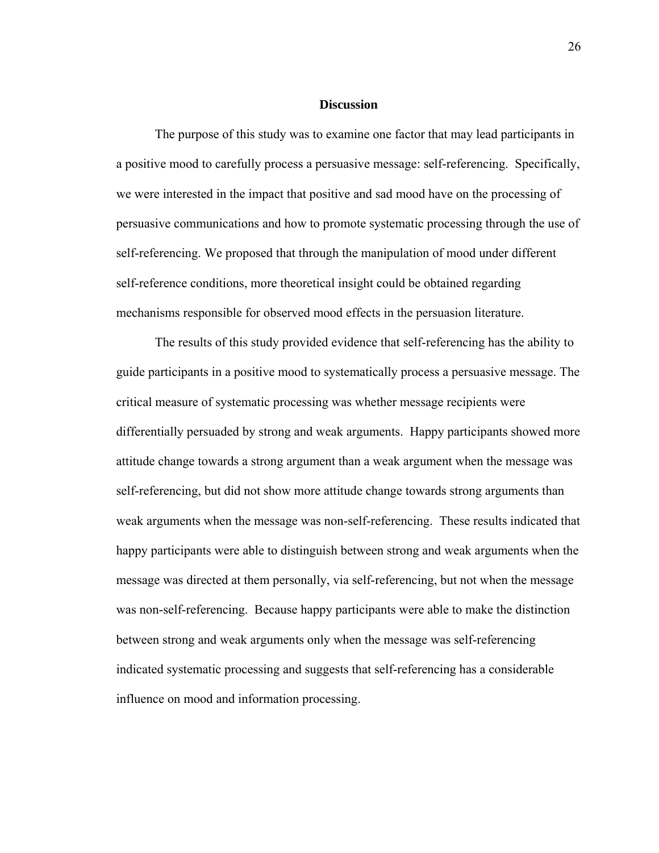### **Discussion**

The purpose of this study was to examine one factor that may lead participants in a positive mood to carefully process a persuasive message: self-referencing. Specifically, we were interested in the impact that positive and sad mood have on the processing of persuasive communications and how to promote systematic processing through the use of self-referencing. We proposed that through the manipulation of mood under different self-reference conditions, more theoretical insight could be obtained regarding mechanisms responsible for observed mood effects in the persuasion literature.

The results of this study provided evidence that self-referencing has the ability to guide participants in a positive mood to systematically process a persuasive message. The critical measure of systematic processing was whether message recipients were differentially persuaded by strong and weak arguments. Happy participants showed more attitude change towards a strong argument than a weak argument when the message was self-referencing, but did not show more attitude change towards strong arguments than weak arguments when the message was non-self-referencing. These results indicated that happy participants were able to distinguish between strong and weak arguments when the message was directed at them personally, via self-referencing, but not when the message was non-self-referencing. Because happy participants were able to make the distinction between strong and weak arguments only when the message was self-referencing indicated systematic processing and suggests that self-referencing has a considerable influence on mood and information processing.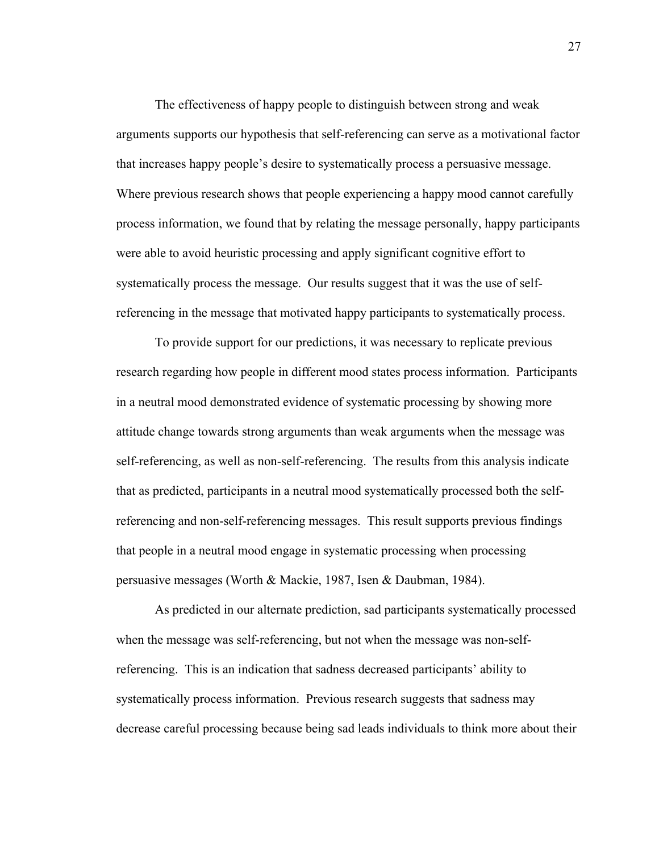The effectiveness of happy people to distinguish between strong and weak arguments supports our hypothesis that self-referencing can serve as a motivational factor that increases happy people's desire to systematically process a persuasive message. Where previous research shows that people experiencing a happy mood cannot carefully process information, we found that by relating the message personally, happy participants were able to avoid heuristic processing and apply significant cognitive effort to systematically process the message. Our results suggest that it was the use of selfreferencing in the message that motivated happy participants to systematically process.

To provide support for our predictions, it was necessary to replicate previous research regarding how people in different mood states process information. Participants in a neutral mood demonstrated evidence of systematic processing by showing more attitude change towards strong arguments than weak arguments when the message was self-referencing, as well as non-self-referencing. The results from this analysis indicate that as predicted, participants in a neutral mood systematically processed both the selfreferencing and non-self-referencing messages. This result supports previous findings that people in a neutral mood engage in systematic processing when processing persuasive messages (Worth & Mackie, 1987, Isen & Daubman, 1984).

As predicted in our alternate prediction, sad participants systematically processed when the message was self-referencing, but not when the message was non-selfreferencing. This is an indication that sadness decreased participants' ability to systematically process information. Previous research suggests that sadness may decrease careful processing because being sad leads individuals to think more about their

27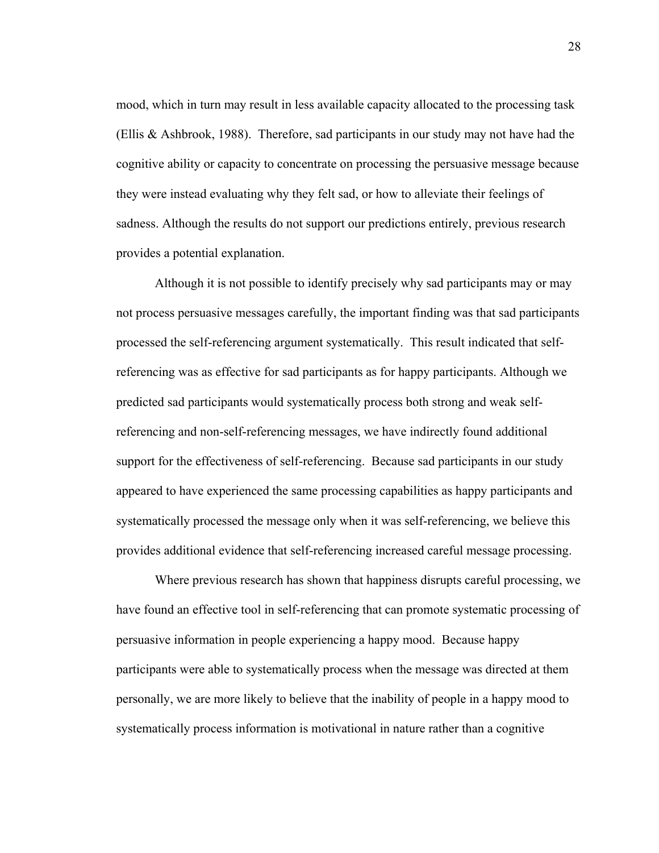mood, which in turn may result in less available capacity allocated to the processing task (Ellis & Ashbrook, 1988). Therefore, sad participants in our study may not have had the cognitive ability or capacity to concentrate on processing the persuasive message because they were instead evaluating why they felt sad, or how to alleviate their feelings of sadness. Although the results do not support our predictions entirely, previous research provides a potential explanation.

Although it is not possible to identify precisely why sad participants may or may not process persuasive messages carefully, the important finding was that sad participants processed the self-referencing argument systematically. This result indicated that selfreferencing was as effective for sad participants as for happy participants. Although we predicted sad participants would systematically process both strong and weak selfreferencing and non-self-referencing messages, we have indirectly found additional support for the effectiveness of self-referencing. Because sad participants in our study appeared to have experienced the same processing capabilities as happy participants and systematically processed the message only when it was self-referencing, we believe this provides additional evidence that self-referencing increased careful message processing.

Where previous research has shown that happiness disrupts careful processing, we have found an effective tool in self-referencing that can promote systematic processing of persuasive information in people experiencing a happy mood. Because happy participants were able to systematically process when the message was directed at them personally, we are more likely to believe that the inability of people in a happy mood to systematically process information is motivational in nature rather than a cognitive

28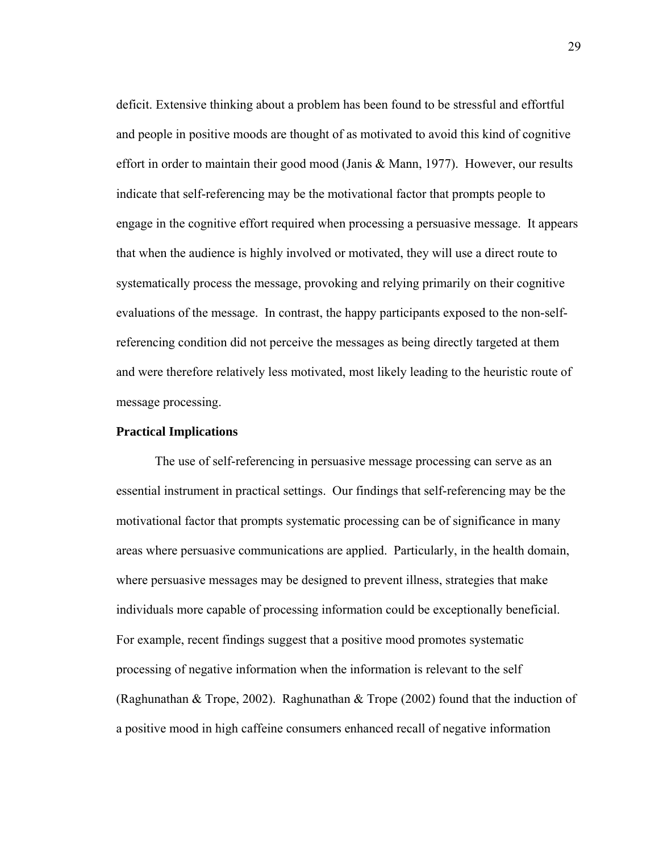deficit. Extensive thinking about a problem has been found to be stressful and effortful and people in positive moods are thought of as motivated to avoid this kind of cognitive effort in order to maintain their good mood (Janis & Mann, 1977). However, our results indicate that self-referencing may be the motivational factor that prompts people to engage in the cognitive effort required when processing a persuasive message. It appears that when the audience is highly involved or motivated, they will use a direct route to systematically process the message, provoking and relying primarily on their cognitive evaluations of the message. In contrast, the happy participants exposed to the non-selfreferencing condition did not perceive the messages as being directly targeted at them and were therefore relatively less motivated, most likely leading to the heuristic route of message processing.

# **Practical Implications**

 The use of self-referencing in persuasive message processing can serve as an essential instrument in practical settings. Our findings that self-referencing may be the motivational factor that prompts systematic processing can be of significance in many areas where persuasive communications are applied. Particularly, in the health domain, where persuasive messages may be designed to prevent illness, strategies that make individuals more capable of processing information could be exceptionally beneficial. For example, recent findings suggest that a positive mood promotes systematic processing of negative information when the information is relevant to the self (Raghunathan & Trope, 2002). Raghunathan & Trope (2002) found that the induction of a positive mood in high caffeine consumers enhanced recall of negative information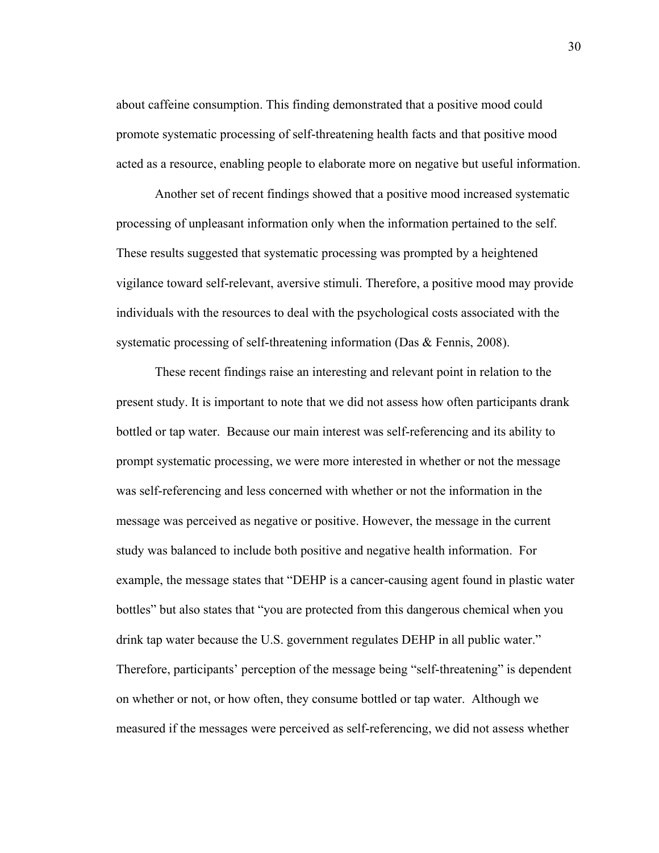about caffeine consumption. This finding demonstrated that a positive mood could promote systematic processing of self-threatening health facts and that positive mood acted as a resource, enabling people to elaborate more on negative but useful information.

 Another set of recent findings showed that a positive mood increased systematic processing of unpleasant information only when the information pertained to the self. These results suggested that systematic processing was prompted by a heightened vigilance toward self-relevant, aversive stimuli. Therefore, a positive mood may provide individuals with the resources to deal with the psychological costs associated with the systematic processing of self-threatening information (Das & Fennis, 2008).

 These recent findings raise an interesting and relevant point in relation to the present study. It is important to note that we did not assess how often participants drank bottled or tap water. Because our main interest was self-referencing and its ability to prompt systematic processing, we were more interested in whether or not the message was self-referencing and less concerned with whether or not the information in the message was perceived as negative or positive. However, the message in the current study was balanced to include both positive and negative health information. For example, the message states that "DEHP is a cancer-causing agent found in plastic water bottles" but also states that "you are protected from this dangerous chemical when you drink tap water because the U.S. government regulates DEHP in all public water." Therefore, participants' perception of the message being "self-threatening" is dependent on whether or not, or how often, they consume bottled or tap water. Although we measured if the messages were perceived as self-referencing, we did not assess whether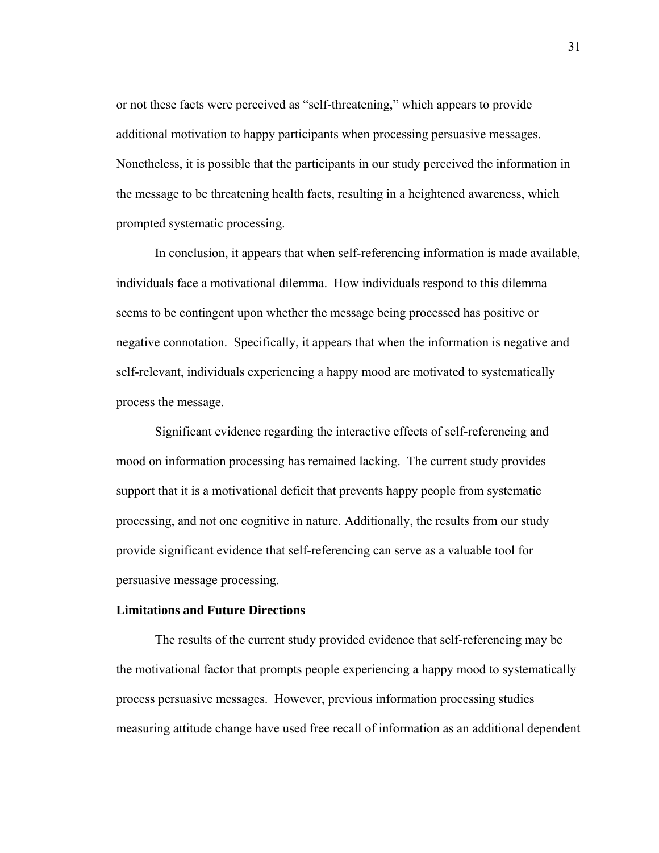or not these facts were perceived as "self-threatening," which appears to provide additional motivation to happy participants when processing persuasive messages. Nonetheless, it is possible that the participants in our study perceived the information in the message to be threatening health facts, resulting in a heightened awareness, which prompted systematic processing.

 In conclusion, it appears that when self-referencing information is made available, individuals face a motivational dilemma. How individuals respond to this dilemma seems to be contingent upon whether the message being processed has positive or negative connotation. Specifically, it appears that when the information is negative and self-relevant, individuals experiencing a happy mood are motivated to systematically process the message.

 Significant evidence regarding the interactive effects of self-referencing and mood on information processing has remained lacking. The current study provides support that it is a motivational deficit that prevents happy people from systematic processing, and not one cognitive in nature. Additionally, the results from our study provide significant evidence that self-referencing can serve as a valuable tool for persuasive message processing.

# **Limitations and Future Directions**

The results of the current study provided evidence that self-referencing may be the motivational factor that prompts people experiencing a happy mood to systematically process persuasive messages. However, previous information processing studies measuring attitude change have used free recall of information as an additional dependent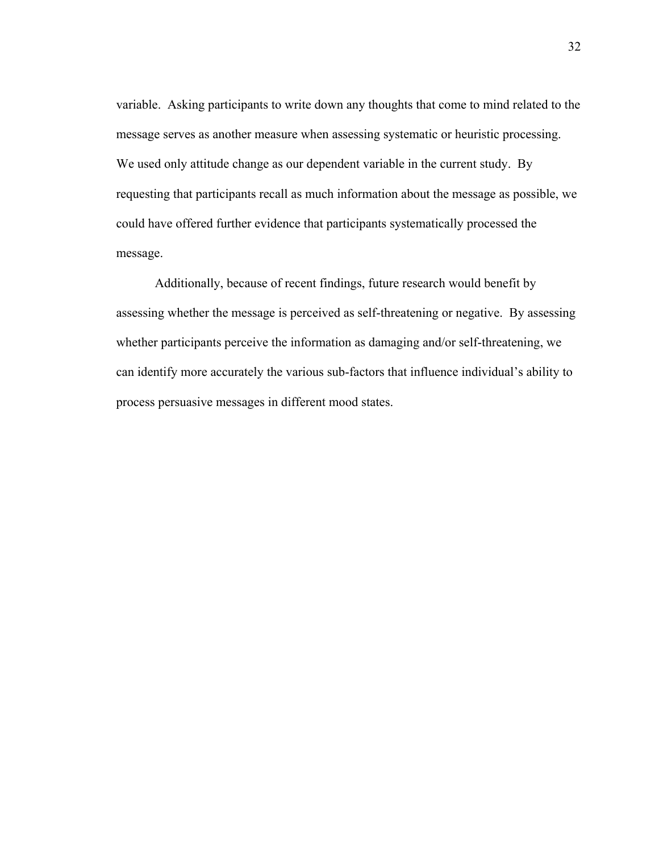variable. Asking participants to write down any thoughts that come to mind related to the message serves as another measure when assessing systematic or heuristic processing. We used only attitude change as our dependent variable in the current study. By requesting that participants recall as much information about the message as possible, we could have offered further evidence that participants systematically processed the message.

Additionally, because of recent findings, future research would benefit by assessing whether the message is perceived as self-threatening or negative. By assessing whether participants perceive the information as damaging and/or self-threatening, we can identify more accurately the various sub-factors that influence individual's ability to process persuasive messages in different mood states.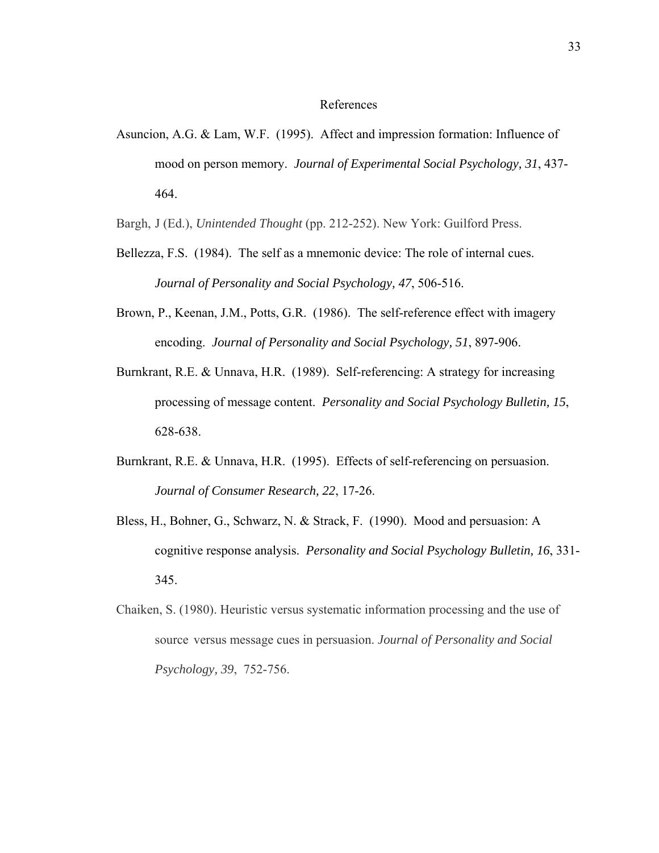### References

Asuncion, A.G. & Lam, W.F. (1995). Affect and impression formation: Influence of mood on person memory. *Journal of Experimental Social Psychology, 31*, 437- 464.

Bargh, J (Ed.), *Unintended Thought* (pp. 212-252). New York: Guilford Press.

- Bellezza, F.S. (1984). The self as a mnemonic device: The role of internal cues. *Journal of Personality and Social Psychology, 47*, 506-516.
- Brown, P., Keenan, J.M., Potts, G.R. (1986). The self-reference effect with imagery encoding. *Journal of Personality and Social Psychology, 51*, 897-906.
- Burnkrant, R.E. & Unnava, H.R. (1989). Self-referencing: A strategy for increasing processing of message content. *Personality and Social Psychology Bulletin, 15*, 628-638.
- Burnkrant, R.E. & Unnava, H.R. (1995). Effects of self-referencing on persuasion. *Journal of Consumer Research, 22*, 17-26.
- Bless, H., Bohner, G., Schwarz, N. & Strack, F. (1990). Mood and persuasion: A cognitive response analysis. *Personality and Social Psychology Bulletin, 16*, 331- 345.
- Chaiken, S. (1980). Heuristic versus systematic information processing and the use of source versus message cues in persuasion. *Journal of Personality and Social Psychology, 39*, 752-756.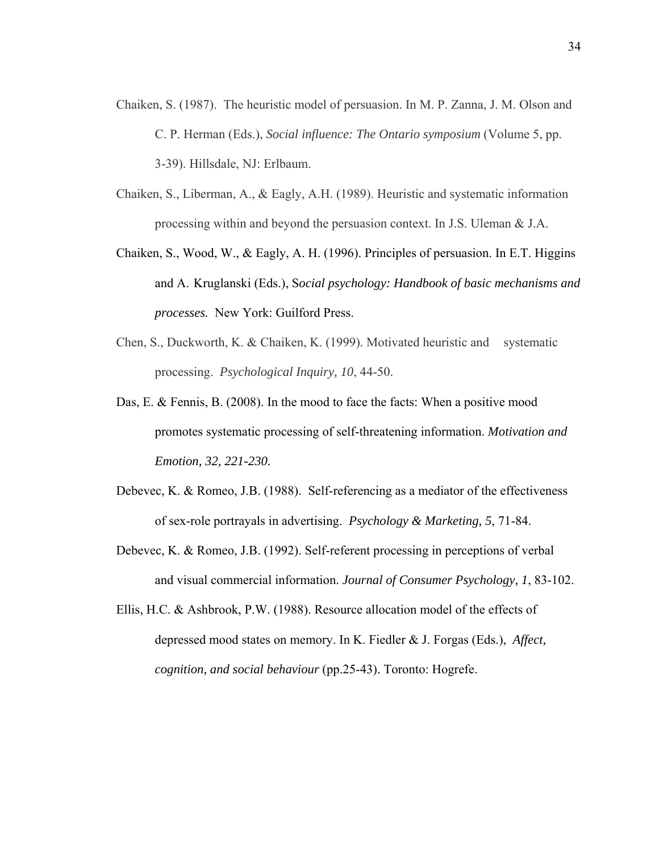- Chaiken, S. (1987). The heuristic model of persuasion. In M. P. Zanna, J. M. Olson and C. P. Herman (Eds.), *Social influence: The Ontario symposium* (Volume 5, pp. 3-39). Hillsdale, NJ: Erlbaum.
- Chaiken, S., Liberman, A., & Eagly, A.H. (1989). Heuristic and systematic information processing within and beyond the persuasion context. In J.S. Uleman & J.A.
- Chaiken, S., Wood, W., & Eagly, A. H. (1996). Principles of persuasion. In E.T. Higgins and A. Kruglanski (Eds.), S*ocial psychology: Handbook of basic mechanisms and processes.* New York: Guilford Press.
- Chen, S., Duckworth, K. & Chaiken, K. (1999). Motivated heuristic and systematic processing. *Psychological Inquiry, 10*, 44-50.
- Das, E. & Fennis, B. (2008). In the mood to face the facts: When a positive mood promotes systematic processing of self-threatening information. *Motivation and Emotion, 32, 221-230.*
- Debevec, K. & Romeo, J.B. (1988). Self-referencing as a mediator of the effectiveness of sex-role portrayals in advertising. *Psychology & Marketing, 5*, 71-84.
- Debevec, K. & Romeo, J.B. (1992). Self-referent processing in perceptions of verbal and visual commercial information. *Journal of Consumer Psychology, 1*, 83-102.
- Ellis, H.C. & Ashbrook, P.W. (1988). Resource allocation model of the effects of depressed mood states on memory. In K. Fiedler & J. Forgas (Eds.), *Affect, cognition, and social behaviour* (pp.25-43). Toronto: Hogrefe.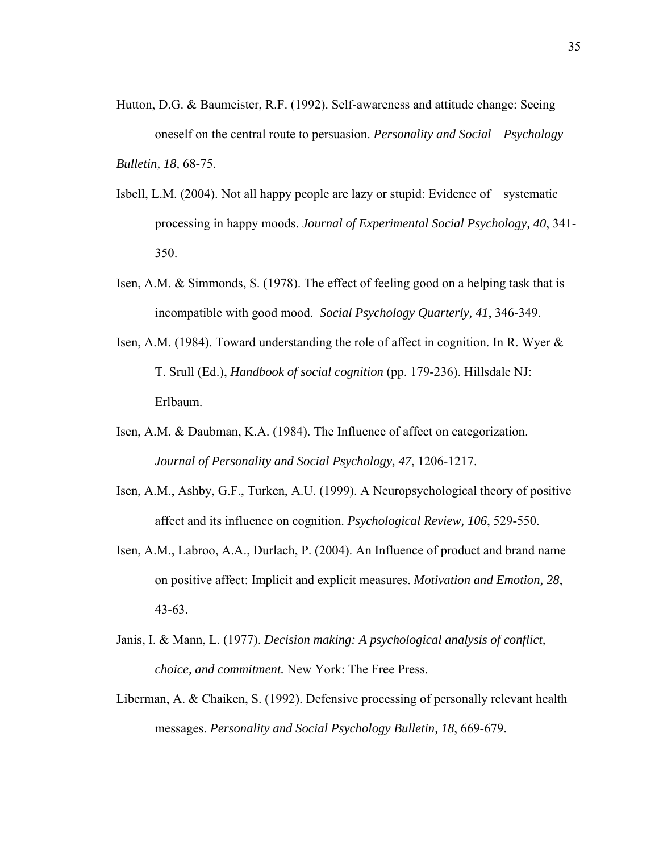- Hutton, D.G. & Baumeister, R.F. (1992). Self-awareness and attitude change: Seeing oneself on the central route to persuasion. *Personality and Social Psychology Bulletin, 18,* 68-75.
- Isbell, L.M. (2004). Not all happy people are lazy or stupid: Evidence of systematic processing in happy moods. *Journal of Experimental Social Psychology, 40*, 341- 350.
- Isen, A.M. & Simmonds, S. (1978). The effect of feeling good on a helping task that is incompatible with good mood. *Social Psychology Quarterly, 41*, 346-349.
- Isen, A.M. (1984). Toward understanding the role of affect in cognition. In R. Wyer & T. Srull (Ed.), *Handbook of social cognition* (pp. 179-236). Hillsdale NJ: Erlbaum.
- Isen, A.M. & Daubman, K.A. (1984). The Influence of affect on categorization. *Journal of Personality and Social Psychology, 47*, 1206-1217.
- Isen, A.M., Ashby, G.F., Turken, A.U. (1999). A Neuropsychological theory of positive affect and its influence on cognition. *Psychological Review, 106*, 529-550.
- Isen, A.M., Labroo, A.A., Durlach, P. (2004). An Influence of product and brand name on positive affect: Implicit and explicit measures. *Motivation and Emotion, 28*, 43-63.
- Janis, I. & Mann, L. (1977). *Decision making: A psychological analysis of conflict, choice, and commitment.* New York: The Free Press.
- Liberman, A. & Chaiken, S. (1992). Defensive processing of personally relevant health messages. *Personality and Social Psychology Bulletin, 18*, 669-679.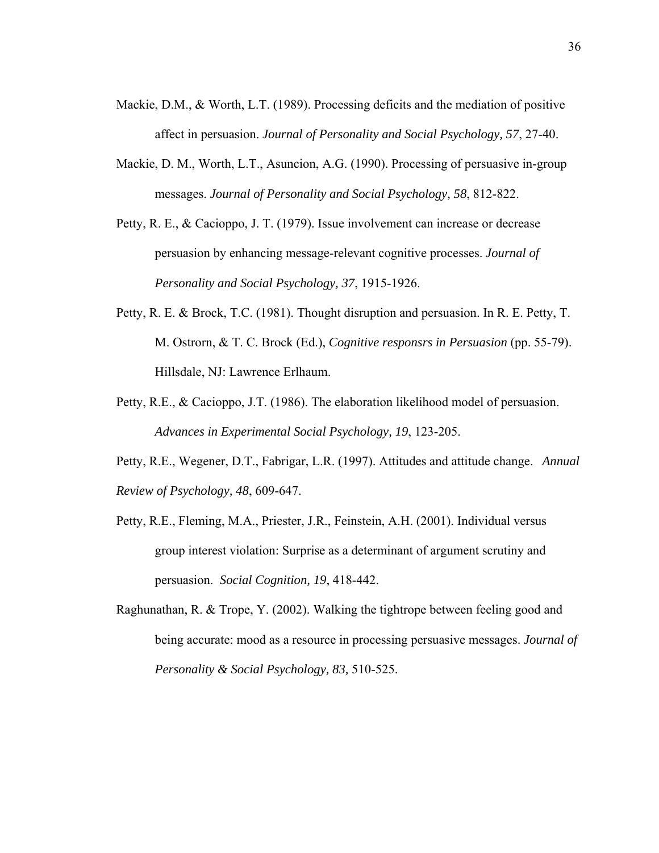- Mackie, D.M., & Worth, L.T. (1989). Processing deficits and the mediation of positive affect in persuasion. *Journal of Personality and Social Psychology, 57*, 27-40.
- Mackie, D. M., Worth, L.T., Asuncion, A.G. (1990). Processing of persuasive in-group messages. *Journal of Personality and Social Psychology, 58*, 812-822.
- Petty, R. E., & Cacioppo, J. T. (1979). Issue involvement can increase or decrease persuasion by enhancing message-relevant cognitive processes. *Journal of Personality and Social Psychology, 37*, 1915-1926.
- Petty, R. E. & Brock, T.C. (1981). Thought disruption and persuasion. In R. E. Petty, T. M. Ostrorn, & T. C. Brock (Ed.), *Cognitive responsrs in Persuasion* (pp. 55-79). Hillsdale, NJ: Lawrence Erlhaum.
- Petty, R.E., & Cacioppo, J.T. (1986). The elaboration likelihood model of persuasion. *Advances in Experimental Social Psychology, 19*, 123-205.
- Petty, R.E., Wegener, D.T., Fabrigar, L.R. (1997). Attitudes and attitude change. *Annual Review of Psychology, 48*, 609-647.
- Petty, R.E., Fleming, M.A., Priester, J.R., Feinstein, A.H. (2001). Individual versus group interest violation: Surprise as a determinant of argument scrutiny and persuasion. *Social Cognition, 19*, 418-442.
- Raghunathan, R. & Trope, Y. (2002). Walking the tightrope between feeling good and being accurate: mood as a resource in processing persuasive messages. *Journal of Personality & Social Psychology, 83,* 510-525.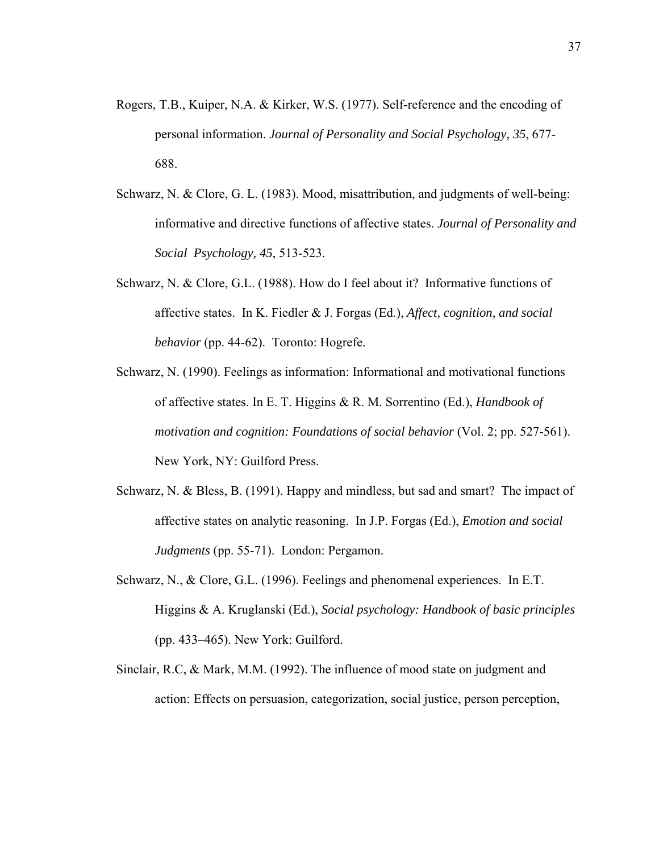- Rogers, T.B., Kuiper, N.A. & Kirker, W.S. (1977). Self-reference and the encoding of personal information. *Journal of Personality and Social Psychology, 35*, 677- 688.
- Schwarz, N. & Clore, G. L. (1983). Mood, misattribution, and judgments of well-being: informative and directive functions of affective states. *Journal of Personality and Social Psychology, 45*, 513-523.
- Schwarz, N. & Clore, G.L. (1988). How do I feel about it? Informative functions of affective states. In K. Fiedler & J. Forgas (Ed.), *Affect, cognition, and social behavior* (pp. 44-62). Toronto: Hogrefe.
- Schwarz, N. (1990). Feelings as information: Informational and motivational functions of affective states. In E. T. Higgins & R. M. Sorrentino (Ed.), *Handbook of motivation and cognition: Foundations of social behavior* (Vol. 2; pp. 527-561). New York, NY: Guilford Press.
- Schwarz, N. & Bless, B. (1991). Happy and mindless, but sad and smart? The impact of affective states on analytic reasoning. In J.P. Forgas (Ed.), *Emotion and social Judgments* (pp. 55-71). London: Pergamon.
- Schwarz, N., & Clore, G.L. (1996). Feelings and phenomenal experiences. In E.T. Higgins & A. Kruglanski (Ed.), *Social psychology: Handbook of basic principles*  (pp. 433–465). New York: Guilford.
- Sinclair, R.C, & Mark, M.M. (1992). The influence of mood state on judgment and action: Effects on persuasion, categorization, social justice, person perception,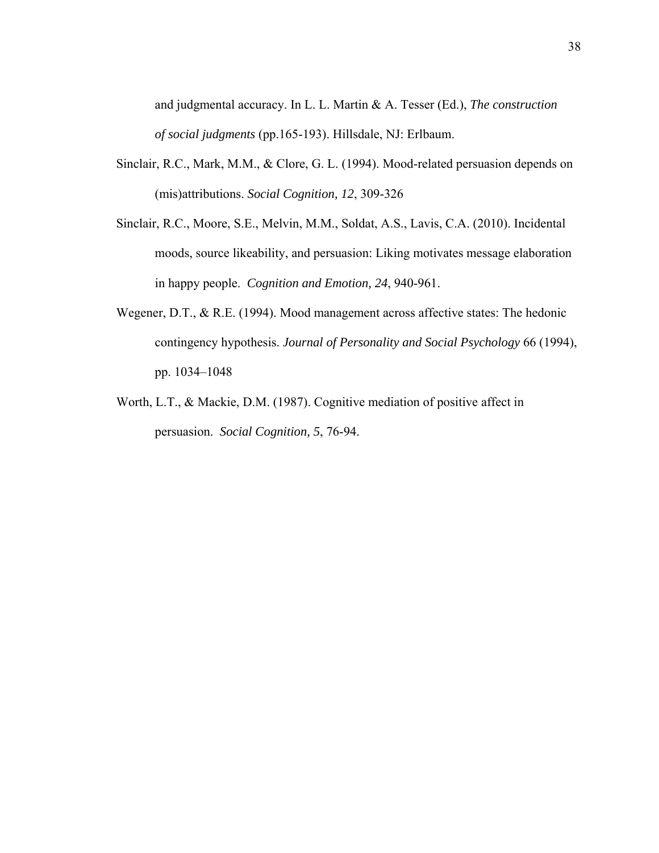and judgmental accuracy. In L. L. Martin & A. Tesser (Ed.), *The construction of social judgments* (pp.165-193). Hillsdale, NJ: Erlbaum.

- Sinclair, R.C., Mark, M.M., & Clore, G. L. (1994). Mood-related persuasion depends on (mis)attributions. *Social Cognition, 12*, 309-326
- Sinclair, R.C., Moore, S.E., Melvin, M.M., Soldat, A.S., Lavis, C.A. (2010). Incidental moods, source likeability, and persuasion: Liking motivates message elaboration in happy people. *Cognition and Emotion, 24*, 940-961.
- Wegener, D.T., & R.E. (1994). Mood management across affective states: The hedonic contingency hypothesis. *Journal of Personality and Social Psychology* 66 (1994), pp. 1034–1048
- Worth, L.T., & Mackie, D.M. (1987). Cognitive mediation of positive affect in persuasion. *Social Cognition, 5*, 76-94.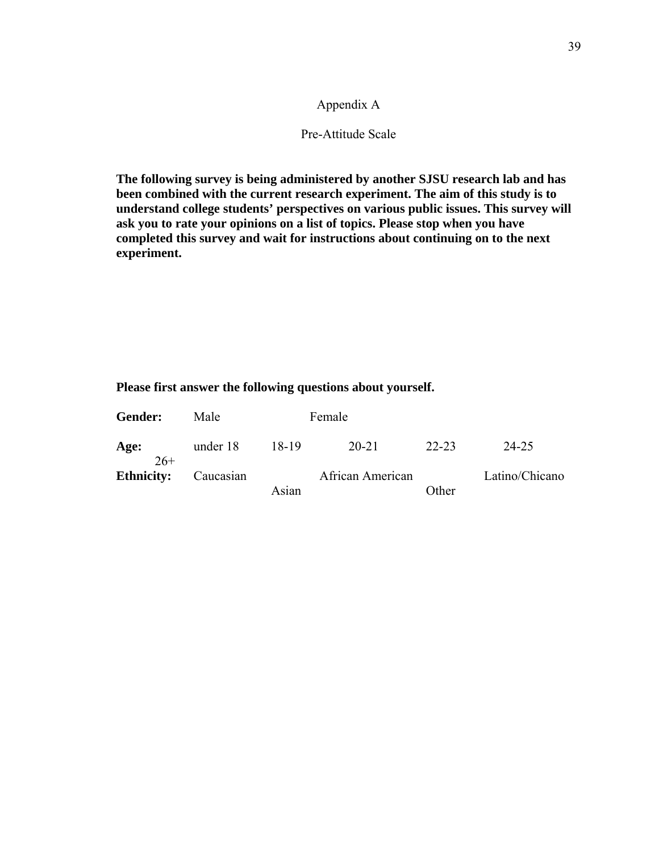# Appendix A

# Pre-Attitude Scale

**The following survey is being administered by another SJSU research lab and has been combined with the current research experiment. The aim of this study is to understand college students' perspectives on various public issues. This survey will ask you to rate your opinions on a list of topics. Please stop when you have completed this survey and wait for instructions about continuing on to the next experiment.** 

| <b>Gender:</b>    | Male      |       | Female           |       |                |
|-------------------|-----------|-------|------------------|-------|----------------|
| Age:<br>$26+$     | under 18  | 18-19 | 20-21            | 22-23 | 24-25          |
| <b>Ethnicity:</b> | Caucasian | Asian | African American | Other | Latino/Chicano |
|                   |           |       |                  |       |                |

# **Please first answer the following questions about yourself.**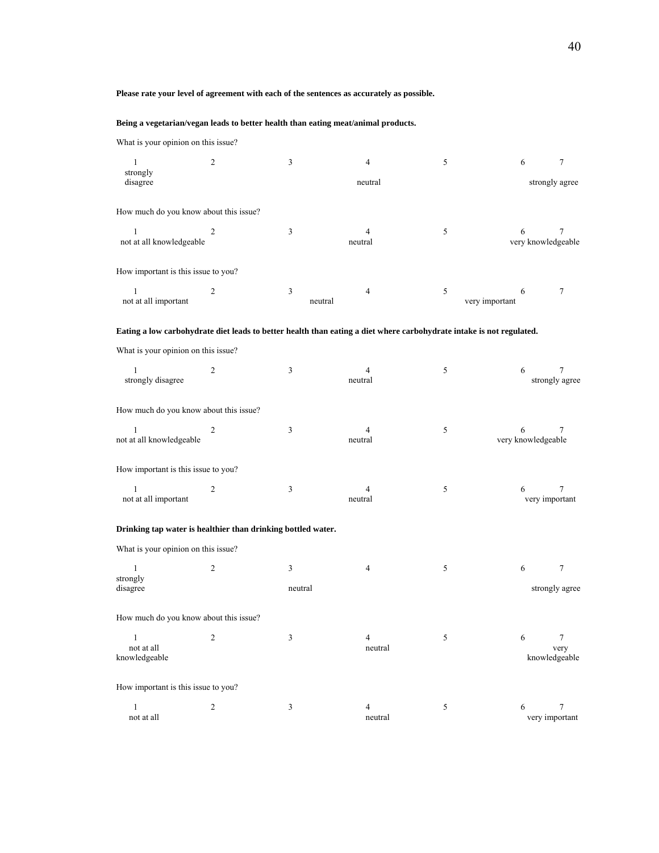#### **Please rate your level of agreement with each of the sentences as accurately as possible.**

#### **Being a vegetarian/vegan leads to better health than eating meat/animal products.**

What is your opinion on this issue?

| $\mathbf{1}$                                                 | 2              | $\mathfrak{Z}$ | 4                                                                                                                    | 5                   | 6                       | 7                       |
|--------------------------------------------------------------|----------------|----------------|----------------------------------------------------------------------------------------------------------------------|---------------------|-------------------------|-------------------------|
| strongly<br>disagree                                         |                |                | neutral                                                                                                              |                     | strongly agree          |                         |
| How much do you know about this issue?                       |                |                |                                                                                                                      |                     |                         |                         |
| 1<br>not at all knowledgeable                                | 2              | 3              | 4<br>neutral                                                                                                         | 5                   | 6<br>very knowledgeable | 7                       |
| How important is this issue to you?                          |                |                |                                                                                                                      |                     |                         |                         |
| 1<br>not at all important                                    | 2              | 3<br>neutral   | 4                                                                                                                    | 5<br>very important | 6                       | 7                       |
|                                                              |                |                | Eating a low carbohydrate diet leads to better health than eating a diet where carbohydrate intake is not regulated. |                     |                         |                         |
| What is your opinion on this issue?                          |                |                |                                                                                                                      |                     |                         |                         |
| 1<br>strongly disagree                                       | 2              | 3              | 4<br>neutral                                                                                                         | 5                   | 6                       | 7<br>strongly agree     |
| How much do you know about this issue?                       |                |                |                                                                                                                      |                     |                         |                         |
| $\mathbf{1}$<br>not at all knowledgeable                     | 2              | 3              | 4<br>neutral                                                                                                         | 5                   | 6<br>very knowledgeable | 7                       |
| How important is this issue to you?                          |                |                |                                                                                                                      |                     |                         |                         |
| 1<br>not at all important                                    | 2              | 3              | 4<br>neutral                                                                                                         | 5                   | 6<br>very important     | 7                       |
| Drinking tap water is healthier than drinking bottled water. |                |                |                                                                                                                      |                     |                         |                         |
| What is your opinion on this issue?                          |                |                |                                                                                                                      |                     |                         |                         |
| 1<br>strongly<br>disagree                                    | 2              | 3<br>neutral   | 4                                                                                                                    | 5                   | 6                       | 7<br>strongly agree     |
| How much do you know about this issue?                       |                |                |                                                                                                                      |                     |                         |                         |
| $\overline{1}$<br>not at all<br>knowledgeable                | 2              | 3              | neutral                                                                                                              | 5                   | 6<br>knowledgeable      | $7\phantom{.0}$<br>very |
| How important is this issue to you?                          |                |                |                                                                                                                      |                     |                         |                         |
| $\mathbf{1}$<br>not at all                                   | $\overline{c}$ | $\mathfrak{Z}$ | 4<br>neutral                                                                                                         | $\sqrt{5}$          | 6<br>very important     | 7                       |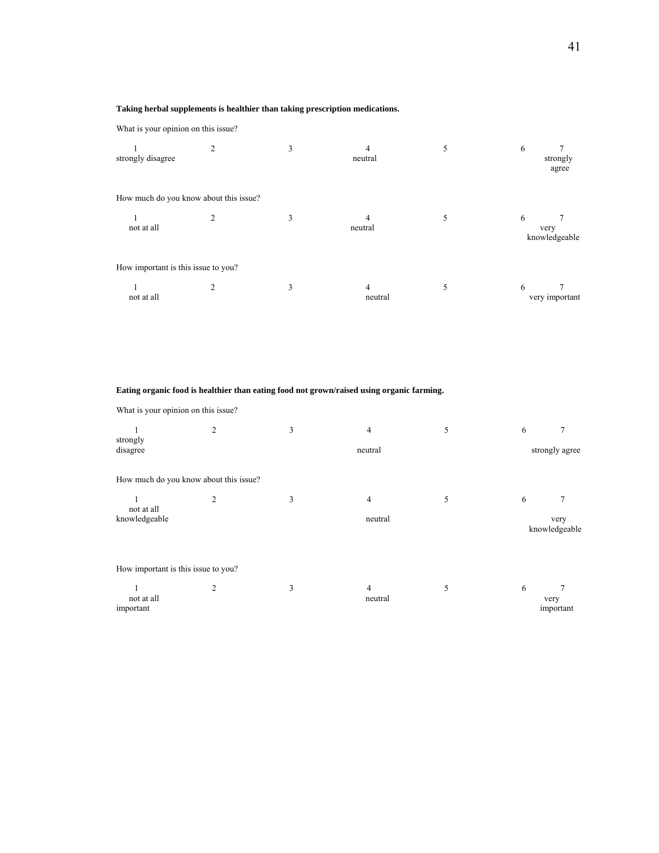#### **Taking herbal supplements is healthier than taking prescription medications.**

What is your opinion on this issue?

| strongly disagree                   | 2                                      | 3 | 4<br>neutral | 5 | 6<br>strongly<br>agree     |
|-------------------------------------|----------------------------------------|---|--------------|---|----------------------------|
|                                     | How much do you know about this issue? |   |              |   |                            |
| not at all                          |                                        | 3 | neutral      | 5 | 6<br>very<br>knowledgeable |
| How important is this issue to you? |                                        |   |              |   |                            |
| not at all                          |                                        | 3 | 4<br>neutral | 5 | 6<br>very important        |

# **Eating organic food is healthier than eating food not grown/raised using organic farming.**

What is your opinion on this issue?

|                                     | $\overline{c}$                         | 3 | 4              | 5 | 6 |                       |
|-------------------------------------|----------------------------------------|---|----------------|---|---|-----------------------|
| strongly<br>disagree                |                                        |   | strongly agree |   |   |                       |
|                                     | How much do you know about this issue? |   |                |   |   |                       |
| 1<br>not at all                     | $\overline{c}$                         | 3 | $\overline{4}$ | 5 | 6 | 7                     |
| knowledgeable                       |                                        |   | neutral        |   |   | very<br>knowledgeable |
| How important is this issue to you? |                                        |   |                |   |   |                       |
| not at all<br>important             | $\overline{2}$                         | 3 | 4<br>neutral   | 5 | 6 | very<br>important     |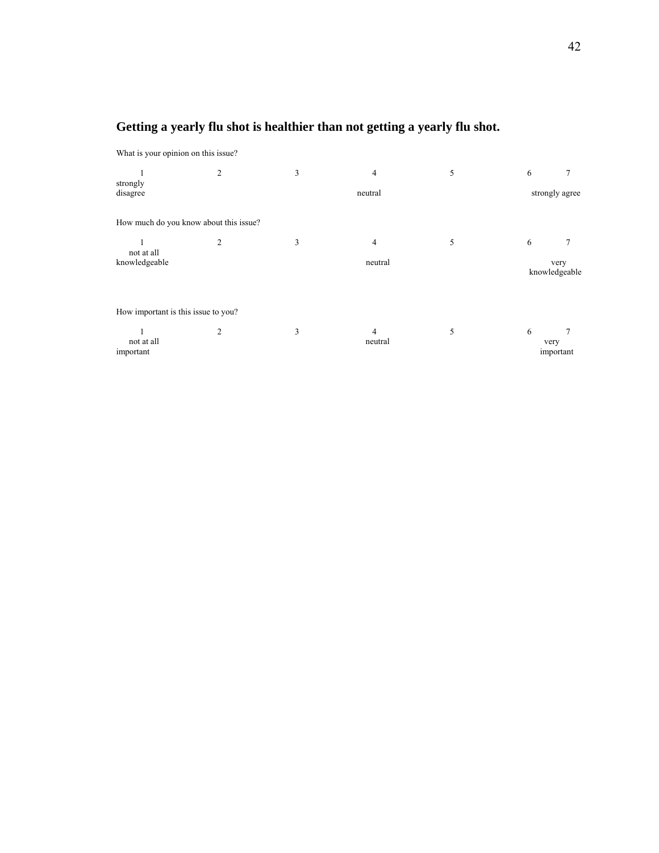# **Getting a yearly flu shot is healthier than not getting a yearly flu shot.**

What is your opinion on this issue?

|                                        | $\overline{c}$ | 3 | 4                         | 5 | 6         |                       |
|----------------------------------------|----------------|---|---------------------------|---|-----------|-----------------------|
| strongly<br>disagree                   |                |   | strongly agree            |   |           |                       |
| How much do you know about this issue? |                |   |                           |   |           |                       |
| not at all                             | $\overline{c}$ | 3 | 4                         | 5 | 6         |                       |
| knowledgeable                          |                |   | neutral                   |   |           | very<br>knowledgeable |
| How important is this issue to you?    |                |   |                           |   |           |                       |
| not at all<br>important                | 2              | 3 | $\overline{4}$<br>neutral | 5 | 6<br>very | important             |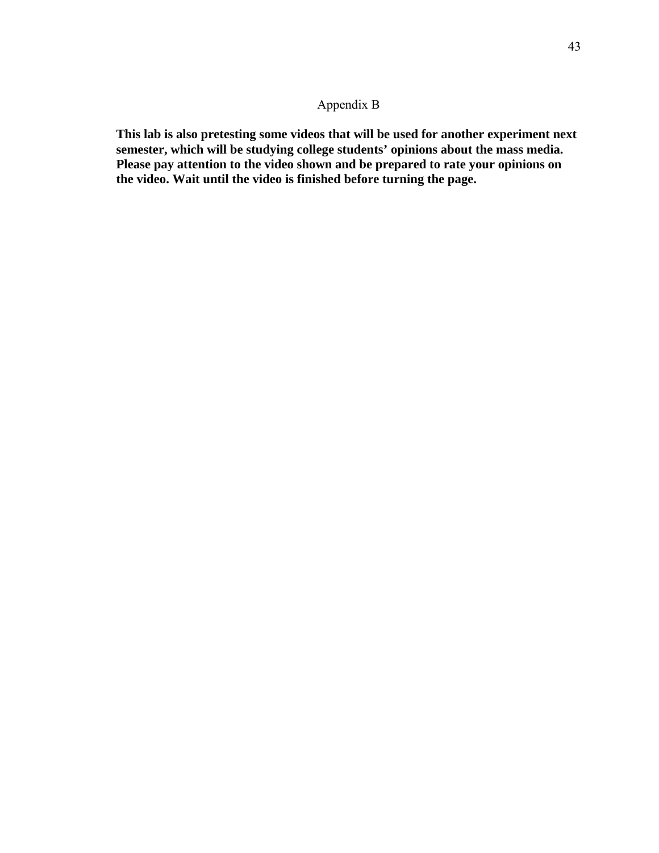# Appendix B

**This lab is also pretesting some videos that will be used for another experiment next semester, which will be studying college students' opinions about the mass media. Please pay attention to the video shown and be prepared to rate your opinions on the video. Wait until the video is finished before turning the page.**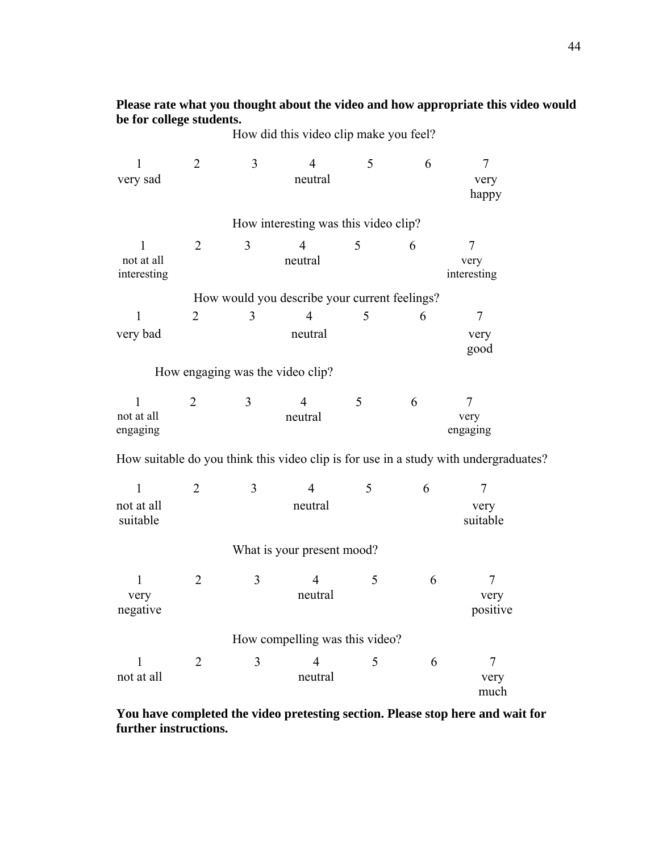**Please rate what you thought about the video and how appropriate this video would be for college students.**  How did this video clip make you feel?

| $\mathbf{1}$              | $\overline{2}$ | 3              | $\overline{4}$                                | 5 | 6 | $\tau$                                                                               |  |
|---------------------------|----------------|----------------|-----------------------------------------------|---|---|--------------------------------------------------------------------------------------|--|
| very sad                  |                |                | neutral                                       |   |   | very                                                                                 |  |
|                           |                |                |                                               |   |   | happy                                                                                |  |
|                           |                |                | How interesting was this video clip?          |   |   |                                                                                      |  |
| 1                         | $\overline{2}$ | 3              | $\overline{4}$                                | 5 | 6 | 7                                                                                    |  |
| not at all<br>interesting |                |                | neutral                                       |   |   | very<br>interesting                                                                  |  |
|                           |                |                | How would you describe your current feelings? |   |   |                                                                                      |  |
| 1                         | $\overline{2}$ | 3              | $\overline{4}$                                | 5 | 6 | $\tau$                                                                               |  |
| very bad                  |                |                | neutral                                       |   |   | very                                                                                 |  |
|                           |                |                |                                               |   |   | good                                                                                 |  |
|                           |                |                | How engaging was the video clip?              |   |   |                                                                                      |  |
| 1                         | $\overline{2}$ | 3              | $\overline{4}$                                | 5 | 6 | 7                                                                                    |  |
| not at all                |                |                | neutral                                       |   |   | very                                                                                 |  |
| engaging                  |                |                |                                               |   |   | engaging                                                                             |  |
|                           |                |                |                                               |   |   | How suitable do you think this video clip is for use in a study with undergraduates? |  |
| $\mathbf{1}$              | $\overline{2}$ | 3              | $\overline{4}$                                | 5 | 6 | 7                                                                                    |  |
| not at all                |                |                | neutral                                       |   |   | very                                                                                 |  |
| suitable                  |                |                |                                               |   |   | suitable                                                                             |  |
|                           |                |                | What is your present mood?                    |   |   |                                                                                      |  |
| $\mathbf{1}$              | $\overline{2}$ | $\overline{3}$ | $\overline{4}$                                | 5 | 6 | 7                                                                                    |  |
| very                      |                |                | neutral                                       |   |   | very                                                                                 |  |
| negative                  |                |                |                                               |   |   | positive                                                                             |  |
|                           |                |                | How compelling was this video?                |   |   |                                                                                      |  |
|                           | $\overline{2}$ | $\mathfrak{Z}$ | 4                                             | 5 | 6 | 7                                                                                    |  |
| not at all                |                |                | neutral                                       |   |   | very                                                                                 |  |

**You have completed the video pretesting section. Please stop here and wait for further instructions.** 

much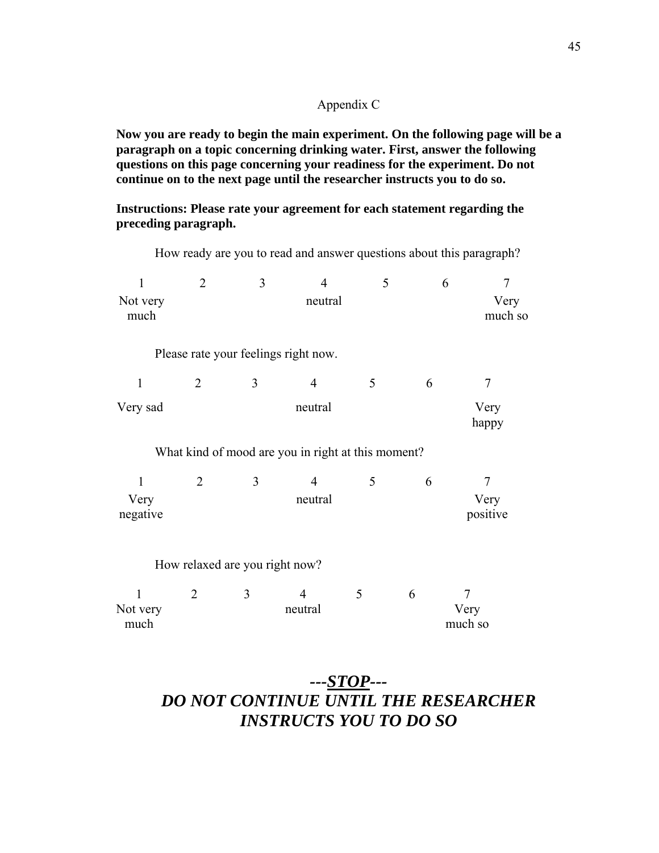# Appendix C

**Now you are ready to begin the main experiment. On the following page will be a paragraph on a topic concerning drinking water. First, answer the following questions on this page concerning your readiness for the experiment. Do not continue on to the next page until the researcher instructs you to do so.** 

How ready are you to read and answer questions about this paragraph?

**Instructions: Please rate your agreement for each statement regarding the preceding paragraph.**

| 1<br>Not very<br>much            | $\overline{2}$                                     | 3                              | $\overline{4}$<br>neutral            | 5 |   | 6<br>$\overline{7}$<br>Very<br>much so |  |  |
|----------------------------------|----------------------------------------------------|--------------------------------|--------------------------------------|---|---|----------------------------------------|--|--|
|                                  |                                                    |                                | Please rate your feelings right now. |   |   |                                        |  |  |
| $\mathbf{1}$                     | $\overline{2}$                                     | 3                              | $\overline{4}$                       | 5 | 6 | $\overline{7}$                         |  |  |
| Very sad                         |                                                    | neutral<br>Very<br>happy       |                                      |   |   |                                        |  |  |
|                                  | What kind of mood are you in right at this moment? |                                |                                      |   |   |                                        |  |  |
| $\mathbf{1}$<br>Very<br>negative | 2                                                  | 3                              | $\overline{4}$<br>neutral            | 5 | 6 | 7<br>Very<br>positive                  |  |  |
|                                  |                                                    | How relaxed are you right now? |                                      |   |   |                                        |  |  |
| 1<br>Not very<br>much            | $\overline{2}$                                     | 3                              | $\overline{4}$<br>neutral            | 5 | 6 | 7<br>Very<br>much so                   |  |  |

# *---STOP--- DO NOT CONTINUE UNTIL THE RESEARCHER INSTRUCTS YOU TO DO SO*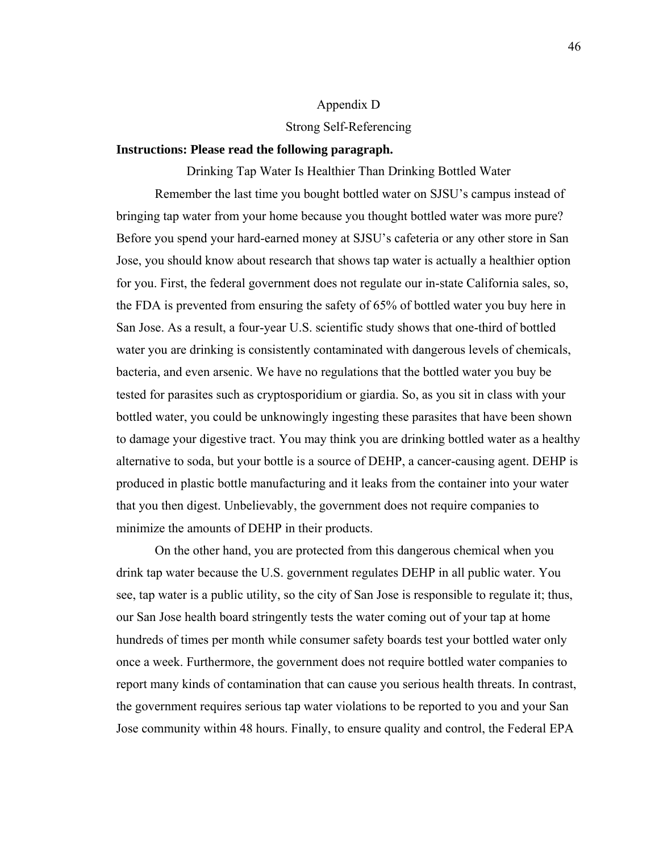# Appendix D

# Strong Self-Referencing

# **Instructions: Please read the following paragraph.**

Drinking Tap Water Is Healthier Than Drinking Bottled Water Remember the last time you bought bottled water on SJSU's campus instead of bringing tap water from your home because you thought bottled water was more pure? Before you spend your hard-earned money at SJSU's cafeteria or any other store in San Jose, you should know about research that shows tap water is actually a healthier option for you. First, the federal government does not regulate our in-state California sales, so, the FDA is prevented from ensuring the safety of 65% of bottled water you buy here in San Jose. As a result, a four-year U.S. scientific study shows that one-third of bottled water you are drinking is consistently contaminated with dangerous levels of chemicals, bacteria, and even arsenic. We have no regulations that the bottled water you buy be tested for parasites such as cryptosporidium or giardia. So, as you sit in class with your bottled water, you could be unknowingly ingesting these parasites that have been shown to damage your digestive tract. You may think you are drinking bottled water as a healthy alternative to soda, but your bottle is a source of DEHP, a cancer-causing agent. DEHP is produced in plastic bottle manufacturing and it leaks from the container into your water that you then digest. Unbelievably, the government does not require companies to minimize the amounts of DEHP in their products.

On the other hand, you are protected from this dangerous chemical when you drink tap water because the U.S. government regulates DEHP in all public water. You see, tap water is a public utility, so the city of San Jose is responsible to regulate it; thus, our San Jose health board stringently tests the water coming out of your tap at home hundreds of times per month while consumer safety boards test your bottled water only once a week. Furthermore, the government does not require bottled water companies to report many kinds of contamination that can cause you serious health threats. In contrast, the government requires serious tap water violations to be reported to you and your San Jose community within 48 hours. Finally, to ensure quality and control, the Federal EPA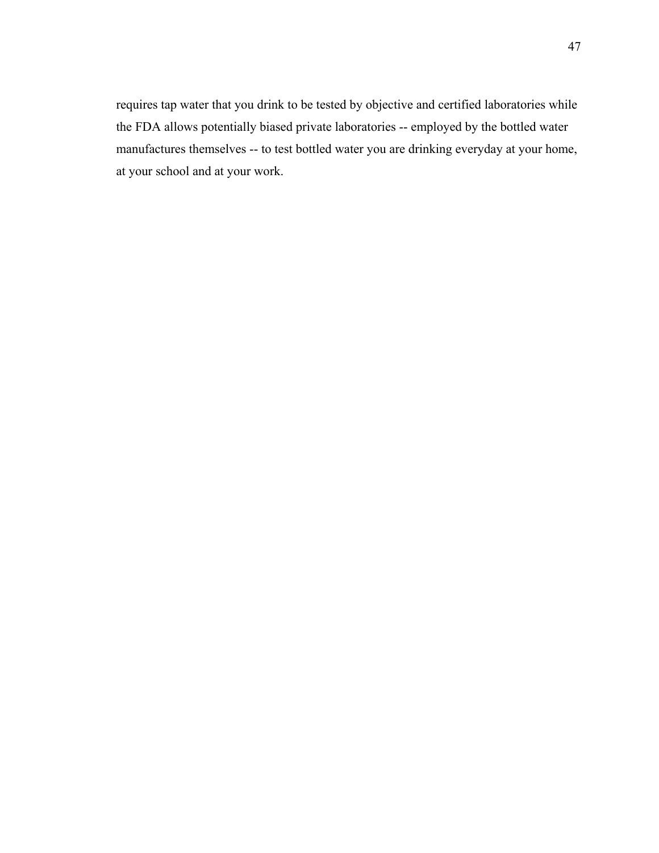requires tap water that you drink to be tested by objective and certified laboratories while the FDA allows potentially biased private laboratories -- employed by the bottled water manufactures themselves -- to test bottled water you are drinking everyday at your home, at your school and at your work.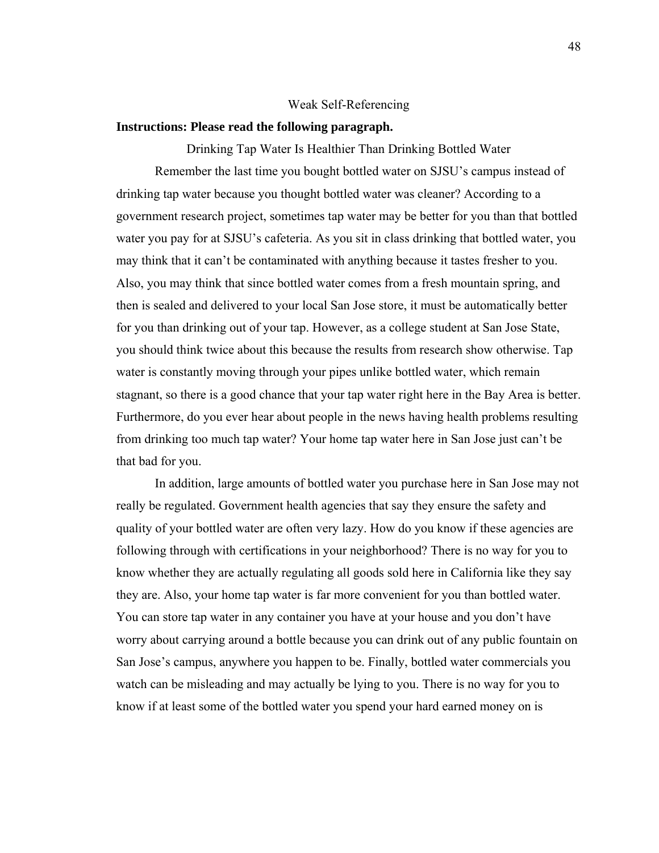#### Weak Self-Referencing

# **Instructions: Please read the following paragraph.**

Drinking Tap Water Is Healthier Than Drinking Bottled Water Remember the last time you bought bottled water on SJSU's campus instead of drinking tap water because you thought bottled water was cleaner? According to a government research project, sometimes tap water may be better for you than that bottled water you pay for at SJSU's cafeteria. As you sit in class drinking that bottled water, you may think that it can't be contaminated with anything because it tastes fresher to you. Also, you may think that since bottled water comes from a fresh mountain spring, and then is sealed and delivered to your local San Jose store, it must be automatically better for you than drinking out of your tap. However, as a college student at San Jose State, you should think twice about this because the results from research show otherwise. Tap water is constantly moving through your pipes unlike bottled water, which remain stagnant, so there is a good chance that your tap water right here in the Bay Area is better. Furthermore, do you ever hear about people in the news having health problems resulting from drinking too much tap water? Your home tap water here in San Jose just can't be that bad for you.

In addition, large amounts of bottled water you purchase here in San Jose may not really be regulated. Government health agencies that say they ensure the safety and quality of your bottled water are often very lazy. How do you know if these agencies are following through with certifications in your neighborhood? There is no way for you to know whether they are actually regulating all goods sold here in California like they say they are. Also, your home tap water is far more convenient for you than bottled water. You can store tap water in any container you have at your house and you don't have worry about carrying around a bottle because you can drink out of any public fountain on San Jose's campus, anywhere you happen to be. Finally, bottled water commercials you watch can be misleading and may actually be lying to you. There is no way for you to know if at least some of the bottled water you spend your hard earned money on is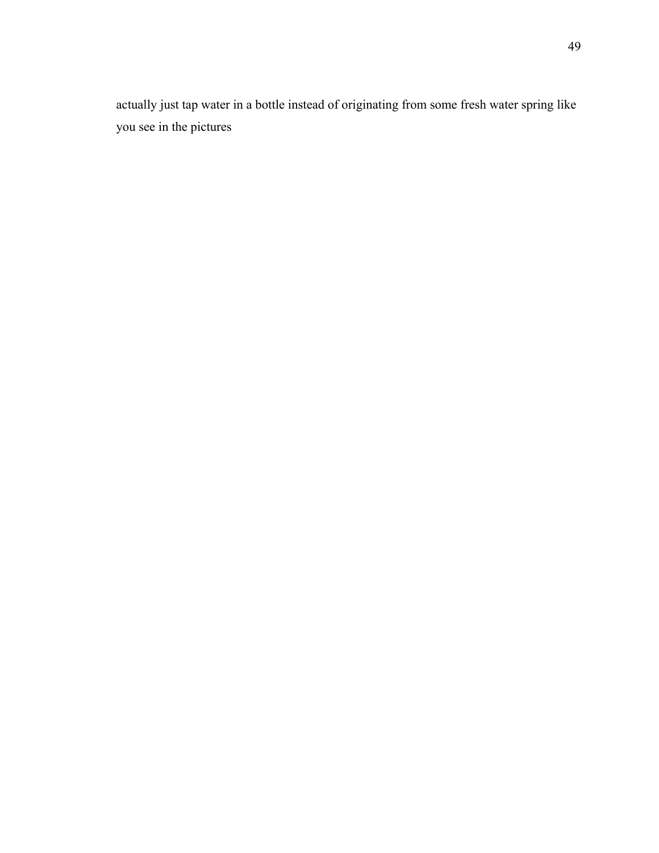actually just tap water in a bottle instead of originating from some fresh water spring like you see in the pictures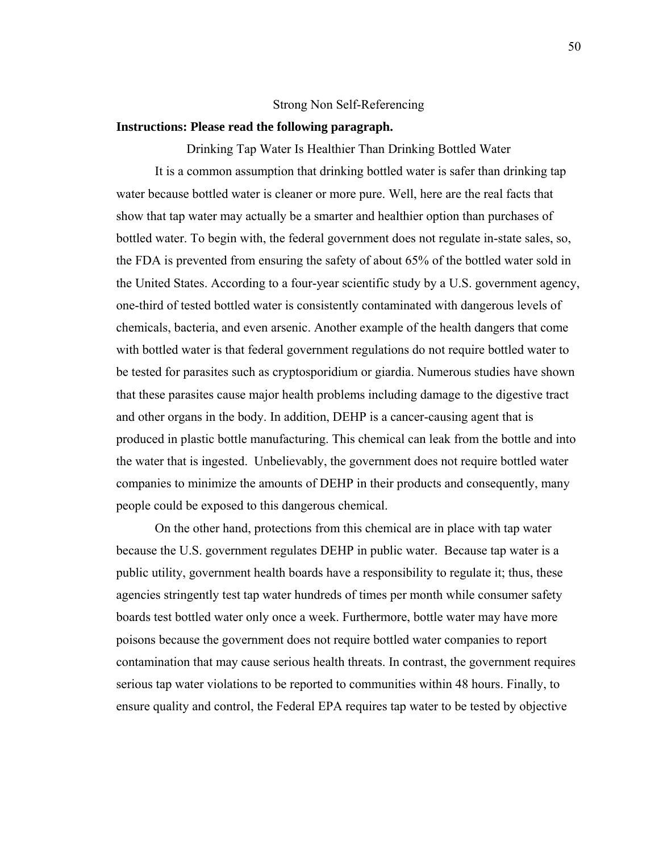#### Strong Non Self-Referencing

# **Instructions: Please read the following paragraph.**

Drinking Tap Water Is Healthier Than Drinking Bottled Water It is a common assumption that drinking bottled water is safer than drinking tap water because bottled water is cleaner or more pure. Well, here are the real facts that show that tap water may actually be a smarter and healthier option than purchases of bottled water. To begin with, the federal government does not regulate in-state sales, so, the FDA is prevented from ensuring the safety of about 65% of the bottled water sold in the United States. According to a four-year scientific study by a U.S. government agency, one-third of tested bottled water is consistently contaminated with dangerous levels of chemicals, bacteria, and even arsenic. Another example of the health dangers that come with bottled water is that federal government regulations do not require bottled water to be tested for parasites such as cryptosporidium or giardia. Numerous studies have shown that these parasites cause major health problems including damage to the digestive tract and other organs in the body. In addition, DEHP is a cancer-causing agent that is produced in plastic bottle manufacturing. This chemical can leak from the bottle and into the water that is ingested. Unbelievably, the government does not require bottled water companies to minimize the amounts of DEHP in their products and consequently, many people could be exposed to this dangerous chemical.

 On the other hand, protections from this chemical are in place with tap water because the U.S. government regulates DEHP in public water. Because tap water is a public utility, government health boards have a responsibility to regulate it; thus, these agencies stringently test tap water hundreds of times per month while consumer safety boards test bottled water only once a week. Furthermore, bottle water may have more poisons because the government does not require bottled water companies to report contamination that may cause serious health threats. In contrast, the government requires serious tap water violations to be reported to communities within 48 hours. Finally, to ensure quality and control, the Federal EPA requires tap water to be tested by objective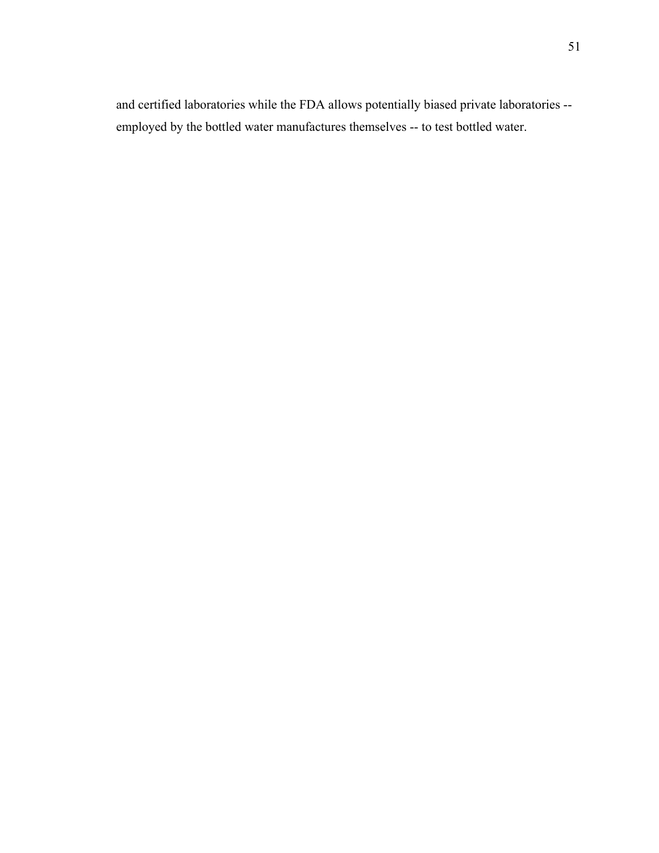and certified laboratories while the FDA allows potentially biased private laboratories - employed by the bottled water manufactures themselves -- to test bottled water.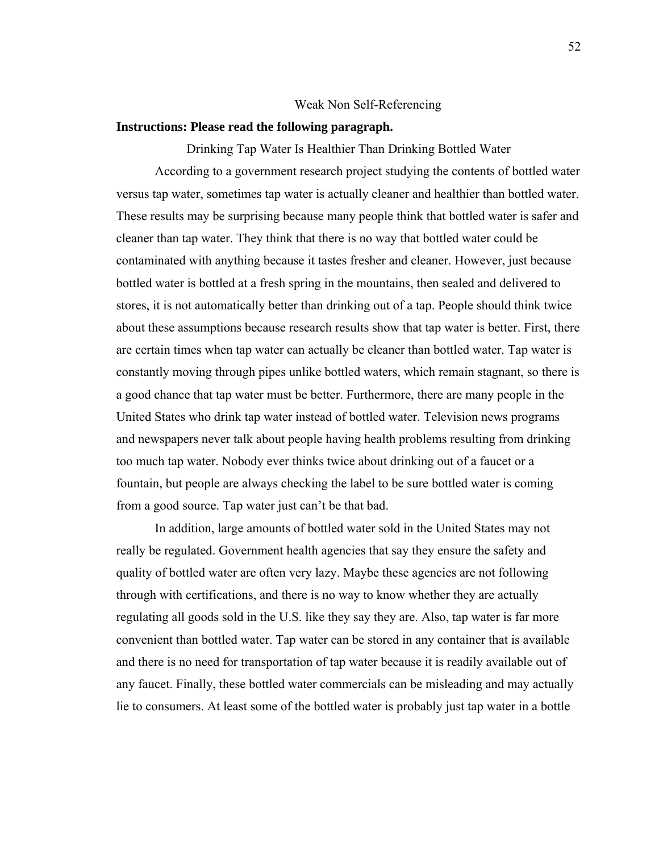#### Weak Non Self-Referencing

# **Instructions: Please read the following paragraph.**

Drinking Tap Water Is Healthier Than Drinking Bottled Water According to a government research project studying the contents of bottled water versus tap water, sometimes tap water is actually cleaner and healthier than bottled water. These results may be surprising because many people think that bottled water is safer and cleaner than tap water. They think that there is no way that bottled water could be contaminated with anything because it tastes fresher and cleaner. However, just because bottled water is bottled at a fresh spring in the mountains, then sealed and delivered to stores, it is not automatically better than drinking out of a tap. People should think twice about these assumptions because research results show that tap water is better. First, there are certain times when tap water can actually be cleaner than bottled water. Tap water is constantly moving through pipes unlike bottled waters, which remain stagnant, so there is a good chance that tap water must be better. Furthermore, there are many people in the United States who drink tap water instead of bottled water. Television news programs and newspapers never talk about people having health problems resulting from drinking too much tap water. Nobody ever thinks twice about drinking out of a faucet or a fountain, but people are always checking the label to be sure bottled water is coming from a good source. Tap water just can't be that bad.

In addition, large amounts of bottled water sold in the United States may not really be regulated. Government health agencies that say they ensure the safety and quality of bottled water are often very lazy. Maybe these agencies are not following through with certifications, and there is no way to know whether they are actually regulating all goods sold in the U.S. like they say they are. Also, tap water is far more convenient than bottled water. Tap water can be stored in any container that is available and there is no need for transportation of tap water because it is readily available out of any faucet. Finally, these bottled water commercials can be misleading and may actually lie to consumers. At least some of the bottled water is probably just tap water in a bottle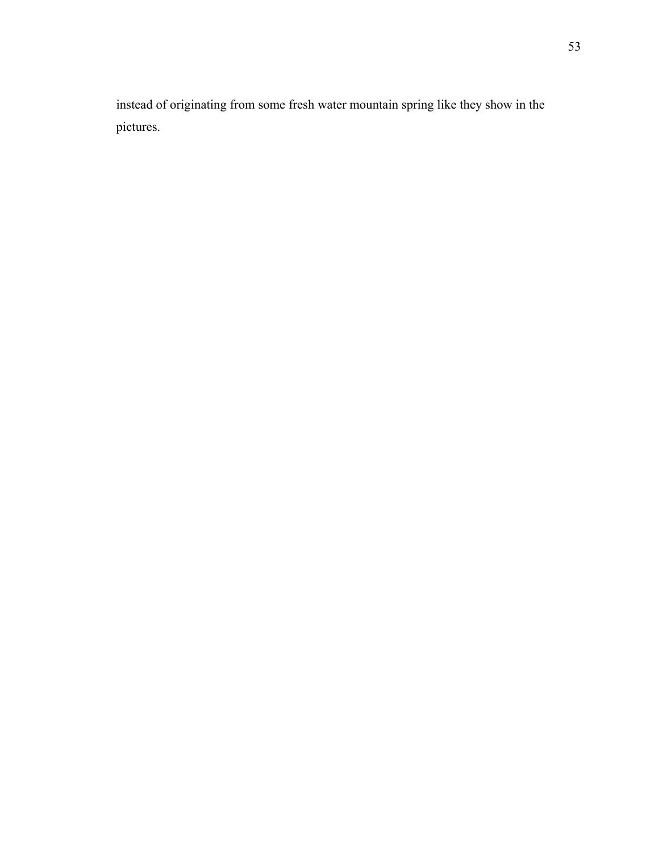instead of originating from some fresh water mountain spring like they show in the pictures.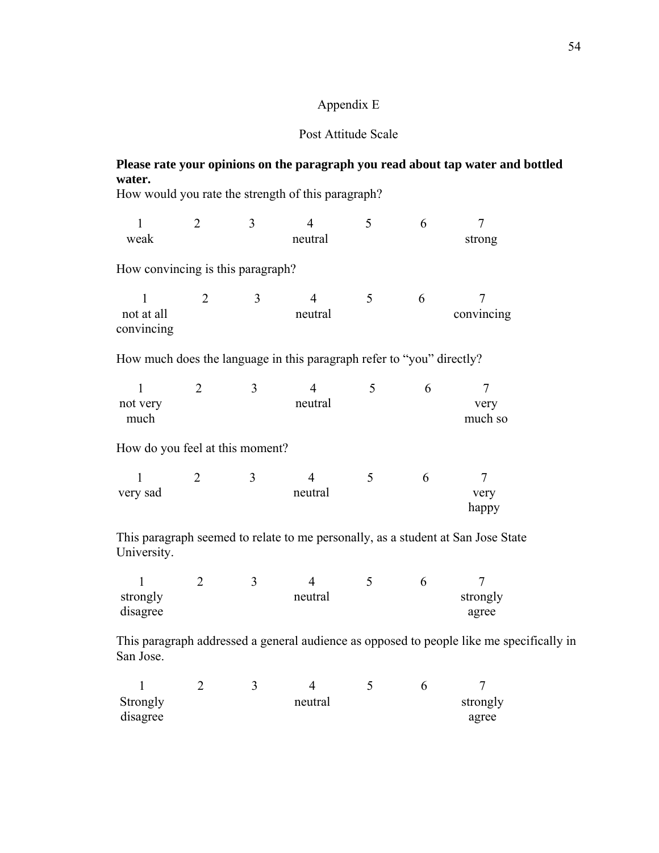# Appendix E

# Post Attitude Scale

# **Please rate your opinions on the paragraph you read about tap water and bottled water.**

How would you rate the strength of this paragraph?

| 1<br>weak                                                             | 2              | 3                       | $\overline{4}$<br>neutral | 5 | 6 | $\overline{7}$<br>strong                                 |
|-----------------------------------------------------------------------|----------------|-------------------------|---------------------------|---|---|----------------------------------------------------------|
| How convincing is this paragraph?                                     |                |                         |                           |   |   |                                                          |
| not at all<br>convincing                                              | 2              | 3                       | 4<br>neutral              | 5 | 6 | convincing                                               |
| How much does the language in this paragraph refer to "you" directly? |                |                         |                           |   |   |                                                          |
| 1<br>not very<br>much                                                 | 2              | 3                       | 4<br>neutral              | 5 | 6 | very<br>much so                                          |
| How do you feel at this moment?                                       |                |                         |                           |   |   |                                                          |
| very sad                                                              | $\overline{2}$ | 3                       | 4<br>neutral              | 5 | 6 | 7<br>very<br>happy                                       |
| $T1$ .                                                                |                | $1 \t 1 \t 1 \t 1 \t 1$ |                           |   |   | $\sim$<br>11 $\sqrt{1}$ $\sqrt{1}$ $\sqrt{2}$ $\sqrt{1}$ |

This paragraph seemed to relate to me personally, as a student at San Jose State University.

| strongly |  | neutral |  | strongly |
|----------|--|---------|--|----------|
| disagree |  |         |  | agree    |

This paragraph addressed a general audience as opposed to people like me specifically in San Jose.

| Strongly |  | neutral |  | strongly |
|----------|--|---------|--|----------|
| disagree |  |         |  | agree    |